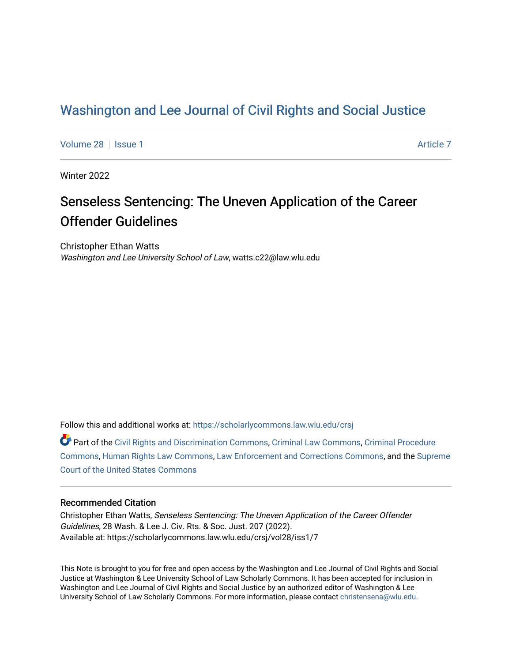## [Washington and Lee Journal of Civil Rights and Social Justice](https://scholarlycommons.law.wlu.edu/crsj)

[Volume 28](https://scholarlycommons.law.wlu.edu/crsj/vol28) | [Issue 1](https://scholarlycommons.law.wlu.edu/crsj/vol28/iss1) [Article 7](https://scholarlycommons.law.wlu.edu/crsj/vol28/iss1/7) Article 7 Article 7 Article 7 Article 7 Article 7 Article 7

Winter 2022

# Senseless Sentencing: The Uneven Application of the Career Offender Guidelines

Christopher Ethan Watts Washington and Lee University School of Law, watts.c22@law.wlu.edu

Follow this and additional works at: [https://scholarlycommons.law.wlu.edu/crsj](https://scholarlycommons.law.wlu.edu/crsj?utm_source=scholarlycommons.law.wlu.edu%2Fcrsj%2Fvol28%2Fiss1%2F7&utm_medium=PDF&utm_campaign=PDFCoverPages) 

Part of the [Civil Rights and Discrimination Commons,](http://network.bepress.com/hgg/discipline/585?utm_source=scholarlycommons.law.wlu.edu%2Fcrsj%2Fvol28%2Fiss1%2F7&utm_medium=PDF&utm_campaign=PDFCoverPages) [Criminal Law Commons,](http://network.bepress.com/hgg/discipline/912?utm_source=scholarlycommons.law.wlu.edu%2Fcrsj%2Fvol28%2Fiss1%2F7&utm_medium=PDF&utm_campaign=PDFCoverPages) [Criminal Procedure](http://network.bepress.com/hgg/discipline/1073?utm_source=scholarlycommons.law.wlu.edu%2Fcrsj%2Fvol28%2Fiss1%2F7&utm_medium=PDF&utm_campaign=PDFCoverPages)  [Commons](http://network.bepress.com/hgg/discipline/1073?utm_source=scholarlycommons.law.wlu.edu%2Fcrsj%2Fvol28%2Fiss1%2F7&utm_medium=PDF&utm_campaign=PDFCoverPages), [Human Rights Law Commons,](http://network.bepress.com/hgg/discipline/847?utm_source=scholarlycommons.law.wlu.edu%2Fcrsj%2Fvol28%2Fiss1%2F7&utm_medium=PDF&utm_campaign=PDFCoverPages) [Law Enforcement and Corrections Commons,](http://network.bepress.com/hgg/discipline/854?utm_source=scholarlycommons.law.wlu.edu%2Fcrsj%2Fvol28%2Fiss1%2F7&utm_medium=PDF&utm_campaign=PDFCoverPages) and the [Supreme](http://network.bepress.com/hgg/discipline/1350?utm_source=scholarlycommons.law.wlu.edu%2Fcrsj%2Fvol28%2Fiss1%2F7&utm_medium=PDF&utm_campaign=PDFCoverPages)  [Court of the United States Commons](http://network.bepress.com/hgg/discipline/1350?utm_source=scholarlycommons.law.wlu.edu%2Fcrsj%2Fvol28%2Fiss1%2F7&utm_medium=PDF&utm_campaign=PDFCoverPages)

## Recommended Citation

Christopher Ethan Watts, Senseless Sentencing: The Uneven Application of the Career Offender Guidelines, 28 Wash. & Lee J. Civ. Rts. & Soc. Just. 207 (2022). Available at: https://scholarlycommons.law.wlu.edu/crsj/vol28/iss1/7

This Note is brought to you for free and open access by the Washington and Lee Journal of Civil Rights and Social Justice at Washington & Lee University School of Law Scholarly Commons. It has been accepted for inclusion in Washington and Lee Journal of Civil Rights and Social Justice by an authorized editor of Washington & Lee University School of Law Scholarly Commons. For more information, please contact [christensena@wlu.edu.](mailto:christensena@wlu.edu)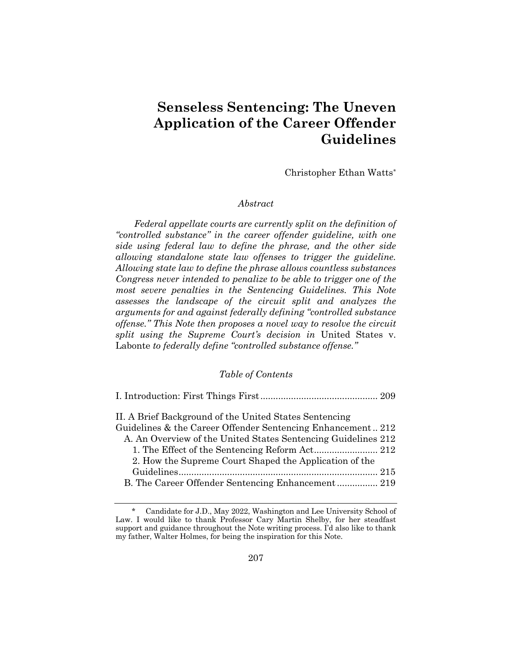## **Senseless Sentencing: The Uneven Application of the Career Offender Guidelines**

Christopher Ethan Watts*\**

## *Abstract*

*Federal appellate courts are currently split on the definition of "controlled substance" in the career offender guideline, with one side using federal law to define the phrase, and the other side allowing standalone state law offenses to trigger the guideline. Allowing state law to define the phrase allows countless substances Congress never intended to penalize to be able to trigger one of the most severe penalties in the Sentencing Guidelines. This Note assesses the landscape of the circuit split and analyzes the arguments for and against federally defining "controlled substance offense." This Note then proposes a novel way to resolve the circuit split using the Supreme Court's decision in* United States v. Labonte *to federally define "controlled substance offense."*

## *Table of Contents*

| II. A Brief Background of the United States Sentencing        |  |
|---------------------------------------------------------------|--|
| Guidelines & the Career Offender Sentencing Enhancement212    |  |
| A. An Overview of the United States Sentencing Guidelines 212 |  |
|                                                               |  |
| 2. How the Supreme Court Shaped the Application of the        |  |
|                                                               |  |
|                                                               |  |
|                                                               |  |

Candidate for J.D., May 2022, Washington and Lee University School of Law. I would like to thank Professor Cary Martin Shelby, for her steadfast support and guidance throughout the Note writing process. I'd also like to thank my father, Walter Holmes, for being the inspiration for this Note.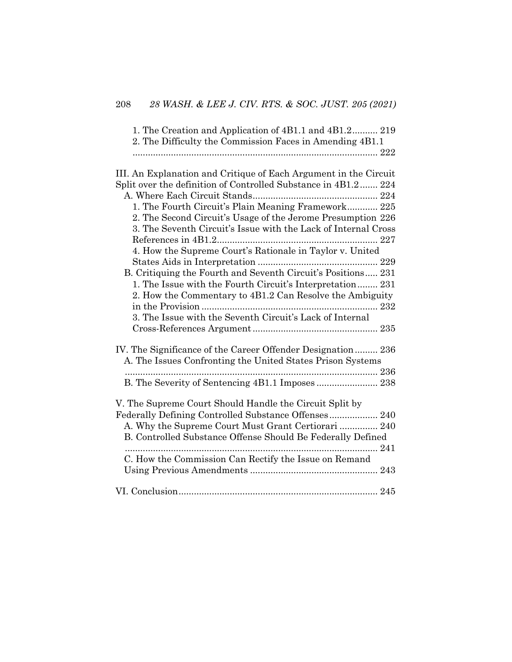| 1. The Creation and Application of 4B1.1 and 4B1.2 219   |  |
|----------------------------------------------------------|--|
| 2. The Difficulty the Commission Faces in Amending 4B1.1 |  |
|                                                          |  |
|                                                          |  |

| III. An Explanation and Critique of Each Argument in the Circuit |
|------------------------------------------------------------------|
| Split over the definition of Controlled Substance in 4B1.2 224   |
|                                                                  |
| 1. The Fourth Circuit's Plain Meaning Framework 225              |
| 2. The Second Circuit's Usage of the Jerome Presumption 226      |
| 3. The Seventh Circuit's Issue with the Lack of Internal Cross   |
|                                                                  |
| 4. How the Supreme Court's Rationale in Taylor v. United         |
|                                                                  |
| B. Critiquing the Fourth and Seventh Circuit's Positions 231     |
| 1. The Issue with the Fourth Circuit's Interpretation 231        |
| 2. How the Commentary to 4B1.2 Can Resolve the Ambiguity         |
|                                                                  |
| 3. The Issue with the Seventh Circuit's Lack of Internal         |
|                                                                  |
| IV. The Significance of the Career Offender Designation 236      |
| A. The Issues Confronting the United States Prison Systems       |
|                                                                  |
| B. The Severity of Sentencing 4B1.1 Imposes  238                 |
| V. The Supreme Court Should Handle the Circuit Split by          |
| Federally Defining Controlled Substance Offenses 240             |
| A. Why the Supreme Court Must Grant Certiorari  240              |
| B. Controlled Substance Offense Should Be Federally Defined      |
|                                                                  |
| C. How the Commission Can Rectify the Issue on Remand            |
|                                                                  |
|                                                                  |
|                                                                  |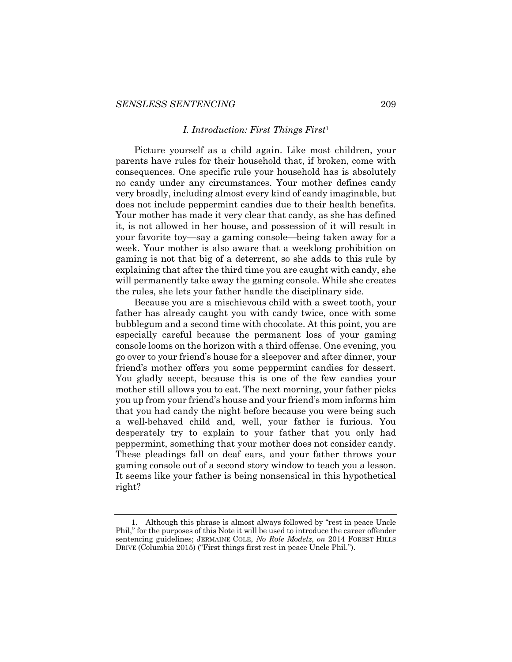#### *I. Introduction: First Things First*<sup>1</sup>

Picture yourself as a child again. Like most children, your parents have rules for their household that, if broken, come with consequences. One specific rule your household has is absolutely no candy under any circumstances. Your mother defines candy very broadly, including almost every kind of candy imaginable, but does not include peppermint candies due to their health benefits. Your mother has made it very clear that candy, as she has defined it, is not allowed in her house, and possession of it will result in your favorite toy—say a gaming console—being taken away for a week. Your mother is also aware that a weeklong prohibition on gaming is not that big of a deterrent, so she adds to this rule by explaining that after the third time you are caught with candy, she will permanently take away the gaming console. While she creates the rules, she lets your father handle the disciplinary side.

Because you are a mischievous child with a sweet tooth, your father has already caught you with candy twice, once with some bubblegum and a second time with chocolate. At this point, you are especially careful because the permanent loss of your gaming console looms on the horizon with a third offense. One evening, you go over to your friend's house for a sleepover and after dinner, your friend's mother offers you some peppermint candies for dessert. You gladly accept, because this is one of the few candies your mother still allows you to eat. The next morning, your father picks you up from your friend's house and your friend's mom informs him that you had candy the night before because you were being such a well-behaved child and, well, your father is furious. You desperately try to explain to your father that you only had peppermint, something that your mother does not consider candy. These pleadings fall on deaf ears, and your father throws your gaming console out of a second story window to teach you a lesson. It seems like your father is being nonsensical in this hypothetical right?

<sup>1.</sup> Although this phrase is almost always followed by "rest in peace Uncle Phil," for the purposes of this Note it will be used to introduce the career offender sentencing guidelines; JERMAINE COLE, *No Role Modelz*, *on* 2014 FOREST HILLS DRIVE (Columbia 2015) ("First things first rest in peace Uncle Phil.").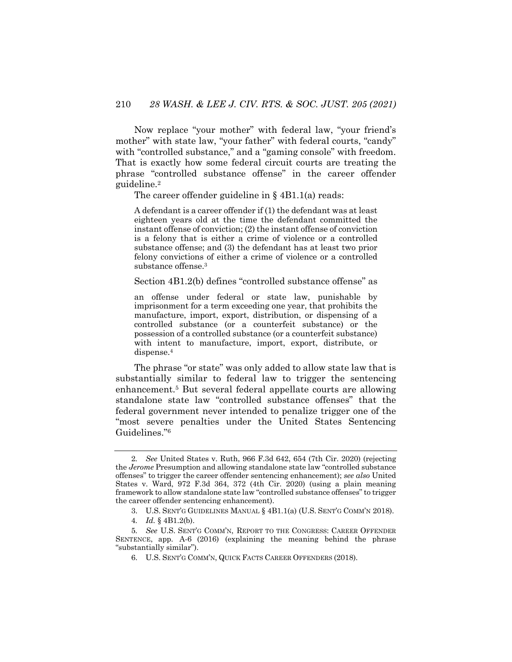Now replace "your mother" with federal law, "your friend's mother" with state law, "your father" with federal courts, "candy" with "controlled substance," and a "gaming console" with freedom. That is exactly how some federal circuit courts are treating the phrase "controlled substance offense" in the career offender guideline.2

The career offender guideline in  $\frac{1}{2}$  4B1.1(a) reads:

A defendant is a career offender if (1) the defendant was at least eighteen years old at the time the defendant committed the instant offense of conviction; (2) the instant offense of conviction is a felony that is either a crime of violence or a controlled substance offense; and (3) the defendant has at least two prior felony convictions of either a crime of violence or a controlled substance offense.3

Section 4B1.2(b) defines "controlled substance offense" as

an offense under federal or state law, punishable by imprisonment for a term exceeding one year, that prohibits the manufacture, import, export, distribution, or dispensing of a controlled substance (or a counterfeit substance) or the possession of a controlled substance (or a counterfeit substance) with intent to manufacture, import, export, distribute, or dispense.4

The phrase "or state" was only added to allow state law that is substantially similar to federal law to trigger the sentencing enhancement.5 But several federal appellate courts are allowing standalone state law "controlled substance offenses" that the federal government never intended to penalize trigger one of the "most severe penalties under the United States Sentencing Guidelines."6

<sup>2</sup>*. See* United States v. Ruth, 966 F.3d 642, 654 (7th Cir. 2020) (rejecting the *Jerome* Presumption and allowing standalone state law "controlled substance offenses" to trigger the career offender sentencing enhancement); *see also* United States v. Ward, 972 F.3d 364, 372 (4th Cir. 2020) (using a plain meaning framework to allow standalone state law "controlled substance offenses" to trigger the career offender sentencing enhancement).

<sup>3.</sup> U.S. SENT'G GUIDELINES MANUAL § 4B1.1(a) (U.S. SENT'G COMM'N 2018).

<sup>4</sup>*. Id.* § 4B1.2(b).

<sup>5</sup>*. See* U.S. SENT'G COMM'N, REPORT TO THE CONGRESS: CAREER OFFENDER SENTENCE, app. A-6 (2016) (explaining the meaning behind the phrase "substantially similar").

<sup>6.</sup> U.S. SENT'G COMM'N, QUICK FACTS CAREER OFFENDERS (2018).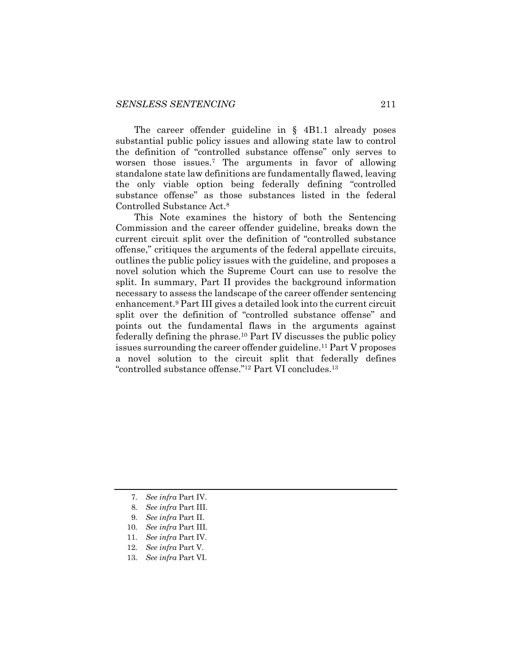The career offender guideline in § 4B1.1 already poses substantial public policy issues and allowing state law to control the definition of "controlled substance offense" only serves to worsen those issues.7 The arguments in favor of allowing standalone state law definitions are fundamentally flawed, leaving the only viable option being federally defining "controlled substance offense" as those substances listed in the federal Controlled Substance Act.8

This Note examines the history of both the Sentencing Commission and the career offender guideline, breaks down the current circuit split over the definition of "controlled substance offense," critiques the arguments of the federal appellate circuits, outlines the public policy issues with the guideline, and proposes a novel solution which the Supreme Court can use to resolve the split. In summary, Part II provides the background information necessary to assess the landscape of the career offender sentencing enhancement.9 Part III gives a detailed look into the current circuit split over the definition of "controlled substance offense" and points out the fundamental flaws in the arguments against federally defining the phrase.10 Part IV discusses the public policy issues surrounding the career offender guideline.<sup>11</sup> Part V proposes a novel solution to the circuit split that federally defines "controlled substance offense."12 Part VI concludes.13

11*. See infra* Part IV.

13*. See infra* Part VI.

<sup>7</sup>*. See infra* Part IV.

<sup>8</sup>*. See infra* Part III.

<sup>9</sup>*. See infra* Part II.

<sup>10</sup>*. See infra* Part III.

<sup>12</sup>*. See infra* Part V.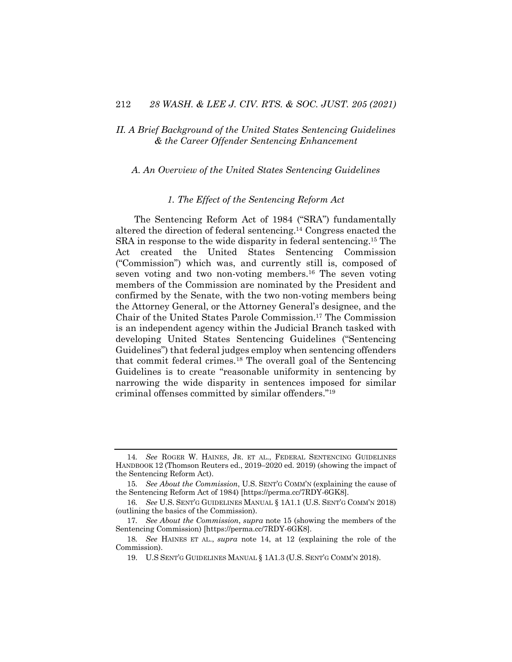## *II. A Brief Background of the United States Sentencing Guidelines & the Career Offender Sentencing Enhancement*

#### *A. An Overview of the United States Sentencing Guidelines*

#### *1. The Effect of the Sentencing Reform Act*

The Sentencing Reform Act of 1984 ("SRA") fundamentally altered the direction of federal sentencing.14 Congress enacted the SRA in response to the wide disparity in federal sentencing.15 The Act created the United States Sentencing Commission ("Commission") which was, and currently still is, composed of seven voting and two non-voting members.16 The seven voting members of the Commission are nominated by the President and confirmed by the Senate, with the two non-voting members being the Attorney General, or the Attorney General's designee, and the Chair of the United States Parole Commission.17 The Commission is an independent agency within the Judicial Branch tasked with developing United States Sentencing Guidelines ("Sentencing Guidelines") that federal judges employ when sentencing offenders that commit federal crimes.18 The overall goal of the Sentencing Guidelines is to create "reasonable uniformity in sentencing by narrowing the wide disparity in sentences imposed for similar criminal offenses committed by similar offenders."19

<sup>14</sup>*. See* ROGER W. HAINES, JR. ET AL., FEDERAL SENTENCING GUIDELINES HANDBOOK 12 (Thomson Reuters ed., 2019–2020 ed. 2019) (showing the impact of the Sentencing Reform Act).

<sup>15</sup>*. See About the Commission*, U.S. SENT'G COMM'N (explaining the cause of the Sentencing Reform Act of 1984) [https://perma.cc/7RDY-6GK8].

<sup>16</sup>*. See* U.S. SENT'G GUIDELINES MANUAL § 1A1.1 (U.S. SENT'G COMM'N 2018) (outlining the basics of the Commission).

<sup>17</sup>*. See About the Commission*, *supra* note 15 (showing the members of the Sentencing Commission) [https://perma.cc/7RDY-6GK8].

<sup>18</sup>*. See* HAINES ET AL., *supra* note 14, at 12 (explaining the role of the Commission).

<sup>19.</sup> U.S SENT'G GUIDELINES MANUAL § 1A1.3 (U.S. SENT'G COMM'N 2018).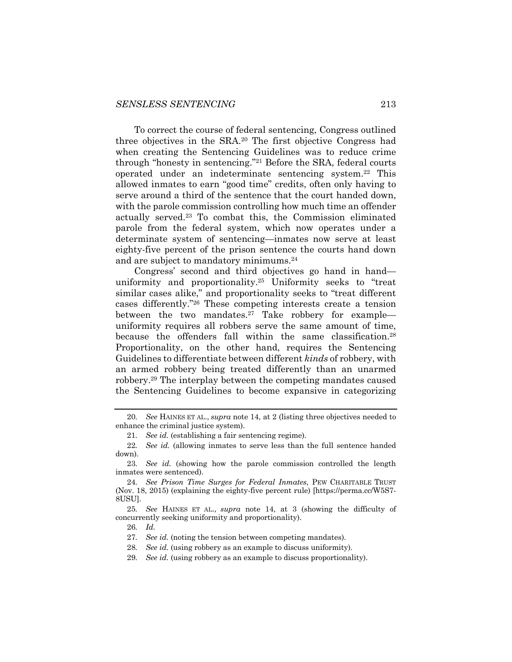To correct the course of federal sentencing, Congress outlined three objectives in the SRA.20 The first objective Congress had when creating the Sentencing Guidelines was to reduce crime through "honesty in sentencing."21 Before the SRA, federal courts operated under an indeterminate sentencing system.22 This allowed inmates to earn "good time" credits, often only having to serve around a third of the sentence that the court handed down, with the parole commission controlling how much time an offender actually served.23 To combat this, the Commission eliminated parole from the federal system, which now operates under a determinate system of sentencing—inmates now serve at least eighty-five percent of the prison sentence the courts hand down and are subject to mandatory minimums.24

Congress' second and third objectives go hand in hand uniformity and proportionality.25 Uniformity seeks to "treat similar cases alike," and proportionality seeks to "treat different cases differently."26 These competing interests create a tension between the two mandates.27 Take robbery for example uniformity requires all robbers serve the same amount of time, because the offenders fall within the same classification.<sup>28</sup> Proportionality, on the other hand, requires the Sentencing Guidelines to differentiate between different *kinds* of robbery, with an armed robbery being treated differently than an unarmed robbery.29 The interplay between the competing mandates caused the Sentencing Guidelines to become expansive in categorizing

<sup>20</sup>*. See* HAINES ET AL., *supra* note 14, at 2 (listing three objectives needed to enhance the criminal justice system).

<sup>21</sup>*. See id.* (establishing a fair sentencing regime).

<sup>22</sup>*. See id.* (allowing inmates to serve less than the full sentence handed down).

<sup>23</sup>*. See id.* (showing how the parole commission controlled the length inmates were sentenced).

<sup>24</sup>*. See Prison Time Surges for Federal Inmates,* PEW CHARITABLE TRUST (Nov. 18, 2015) (explaining the eighty-five percent rule) [https://perma.cc/W5S7- 8USU].

<sup>25</sup>*. See* HAINES ET AL., *supra* note 14, at 3 (showing the difficulty of concurrently seeking uniformity and proportionality).

<sup>26</sup>*. Id.*

<sup>27</sup>*. See id.* (noting the tension between competing mandates).

<sup>28</sup>*. See id.* (using robbery as an example to discuss uniformity).

<sup>29</sup>*. See id.* (using robbery as an example to discuss proportionality).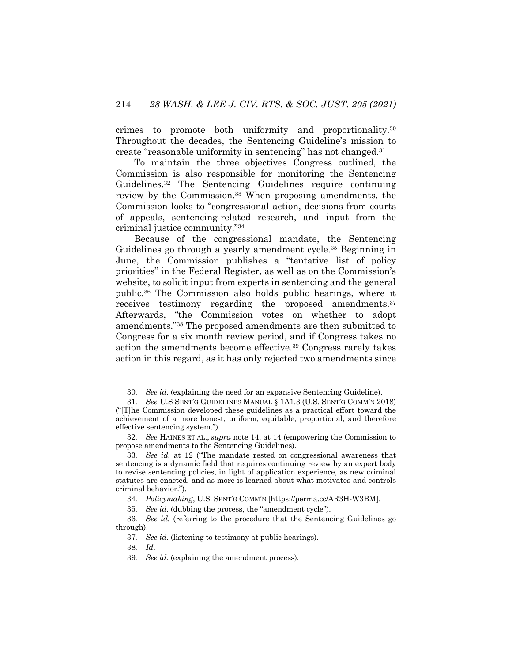crimes to promote both uniformity and proportionality.30 Throughout the decades, the Sentencing Guideline's mission to create "reasonable uniformity in sentencing" has not changed.31

To maintain the three objectives Congress outlined, the Commission is also responsible for monitoring the Sentencing Guidelines.32 The Sentencing Guidelines require continuing review by the Commission.33 When proposing amendments, the Commission looks to "congressional action, decisions from courts of appeals, sentencing-related research, and input from the criminal justice community."34

Because of the congressional mandate, the Sentencing Guidelines go through a yearly amendment cycle.35 Beginning in June, the Commission publishes a "tentative list of policy priorities" in the Federal Register, as well as on the Commission's website, to solicit input from experts in sentencing and the general public.36 The Commission also holds public hearings, where it receives testimony regarding the proposed amendments.<sup>37</sup> Afterwards, "the Commission votes on whether to adopt amendments."38 The proposed amendments are then submitted to Congress for a six month review period, and if Congress takes no action the amendments become effective.<sup>39</sup> Congress rarely takes action in this regard, as it has only rejected two amendments since

<sup>30</sup>*. See id.* (explaining the need for an expansive Sentencing Guideline).

<sup>31</sup>*. See* U.S SENT'G GUIDELINES MANUAL § 1A1.3 (U.S. SENT'G COMM'N 2018) ("[T]he Commission developed these guidelines as a practical effort toward the achievement of a more honest, uniform, equitable, proportional, and therefore effective sentencing system.").

<sup>32</sup>*. See* HAINES ET AL., *supra* note 14, at 14 (empowering the Commission to propose amendments to the Sentencing Guidelines).

<sup>33</sup>*. See id.* at 12 ("The mandate rested on congressional awareness that sentencing is a dynamic field that requires continuing review by an expert body to revise sentencing policies, in light of application experience, as new criminal statutes are enacted, and as more is learned about what motivates and controls criminal behavior.").

<sup>34</sup>*. Policymaking*, U.S. SENT'G COMM'N [https://perma.cc/AR3H-W3BM].

<sup>35</sup>*. See id*. (dubbing the process, the "amendment cycle").

<sup>36</sup>*. See id.* (referring to the procedure that the Sentencing Guidelines go through).

<sup>37</sup>*. See id.* (listening to testimony at public hearings).

<sup>38</sup>*. Id*.

<sup>39</sup>*. See id.* (explaining the amendment process).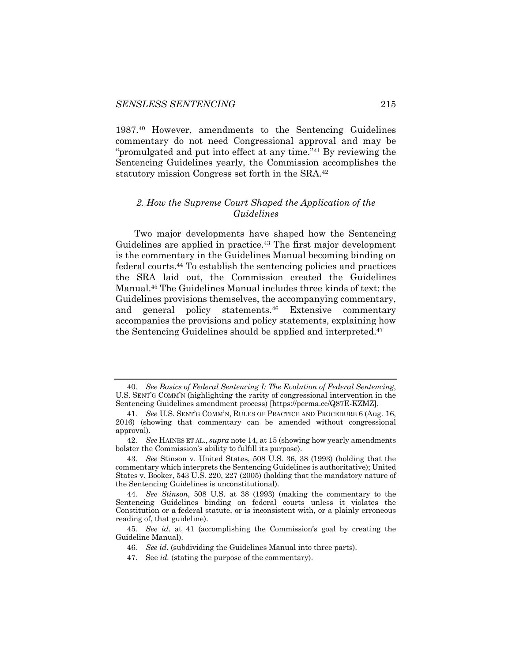1987.40 However, amendments to the Sentencing Guidelines commentary do not need Congressional approval and may be "promulgated and put into effect at any time."41 By reviewing the Sentencing Guidelines yearly, the Commission accomplishes the statutory mission Congress set forth in the SRA.42

### *2. How the Supreme Court Shaped the Application of the Guidelines*

Two major developments have shaped how the Sentencing Guidelines are applied in practice.<sup>43</sup> The first major development is the commentary in the Guidelines Manual becoming binding on federal courts.44 To establish the sentencing policies and practices the SRA laid out, the Commission created the Guidelines Manual.45 The Guidelines Manual includes three kinds of text: the Guidelines provisions themselves, the accompanying commentary, and general policy statements.46 Extensive commentary accompanies the provisions and policy statements, explaining how the Sentencing Guidelines should be applied and interpreted.47

<sup>40</sup>*. See Basics of Federal Sentencing I: The Evolution of Federal Sentencing*, U.S. SENT'G COMM'N (highlighting the rarity of congressional intervention in the Sentencing Guidelines amendment process) [https://perma.cc/Q87E-KZMZ].

<sup>41</sup>*. See* U.S. SENT'G COMM'N, RULES OF PRACTICE AND PROCEDURE 6 (Aug. 16, 2016) (showing that commentary can be amended without congressional approval).

<sup>42</sup>*. See* HAINES ET AL., *supra* note 14, at 15 (showing how yearly amendments bolster the Commission's ability to fulfill its purpose).

<sup>43</sup>*. See* Stinson v. United States, 508 U.S. 36, 38 (1993) (holding that the commentary which interprets the Sentencing Guidelines is authoritative); United States v. Booker, 543 U.S. 220, 227 (2005) (holding that the mandatory nature of the Sentencing Guidelines is unconstitutional).

<sup>44</sup>*. See Stinson*, 508 U.S. at 38 (1993) (making the commentary to the Sentencing Guidelines binding on federal courts unless it violates the Constitution or a federal statute, or is inconsistent with, or a plainly erroneous reading of, that guideline).

<sup>45</sup>*. See id.* at 41 (accomplishing the Commission's goal by creating the Guideline Manual).

<sup>46</sup>*. See id.* (subdividing the Guidelines Manual into three parts).

<sup>47.</sup> See *id.* (stating the purpose of the commentary).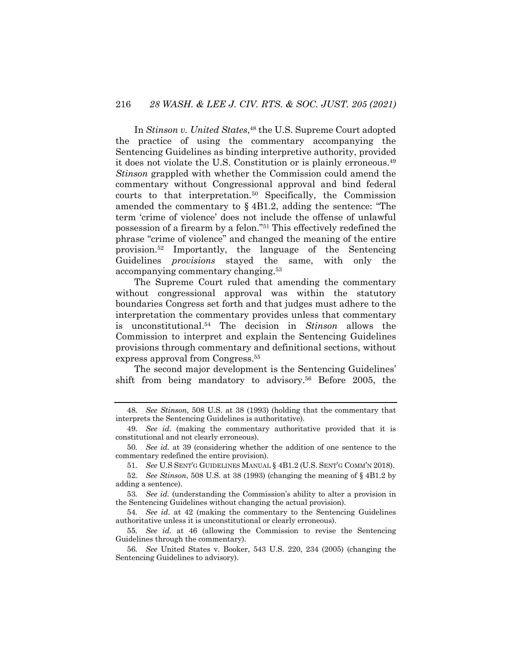In *Stinson v. United States*, <sup>48</sup> the U.S. Supreme Court adopted the practice of using the commentary accompanying the Sentencing Guidelines as binding interpretive authority, provided it does not violate the U.S. Constitution or is plainly erroneous.49 *Stinson* grappled with whether the Commission could amend the commentary without Congressional approval and bind federal courts to that interpretation.50 Specifically, the Commission amended the commentary to § 4B1.2, adding the sentence: "The term 'crime of violence' does not include the offense of unlawful possession of a firearm by a felon."51 This effectively redefined the phrase "crime of violence" and changed the meaning of the entire provision.52 Importantly, the language of the Sentencing Guidelines *provisions* stayed the same, with only the accompanying commentary changing.53

The Supreme Court ruled that amending the commentary without congressional approval was within the statutory boundaries Congress set forth and that judges must adhere to the interpretation the commentary provides unless that commentary is unconstitutional.54 The decision in *Stinson* allows the Commission to interpret and explain the Sentencing Guidelines provisions through commentary and definitional sections, without express approval from Congress.55

The second major development is the Sentencing Guidelines' shift from being mandatory to advisory.56 Before 2005, the

<sup>48</sup>*. See Stinson*, 508 U.S. at 38 (1993) (holding that the commentary that interprets the Sentencing Guidelines is authoritative).

<sup>49</sup>*. See id.* (making the commentary authoritative provided that it is constitutional and not clearly erroneous).

<sup>50</sup>*. See id.* at 39 (considering whether the addition of one sentence to the commentary redefined the entire provision).

<sup>51</sup>*. See* U.S SENT'G GUIDELINES MANUAL § 4B1.2 (U.S. SENT'G COMM'N 2018).

<sup>52</sup>*. See Stinson*, 508 U.S. at 38 (1993) (changing the meaning of § 4B1.2 by adding a sentence).

<sup>53</sup>*. See id.* (understanding the Commission's ability to alter a provision in the Sentencing Guidelines without changing the actual provision).

<sup>54</sup>*. See id.* at 42 (making the commentary to the Sentencing Guidelines authoritative unless it is unconstitutional or clearly erroneous).

<sup>55</sup>*. See id.* at 46 (allowing the Commission to revise the Sentencing Guidelines through the commentary).

<sup>56</sup>*. See* United States v. Booker, 543 U.S. 220, 234 (2005) (changing the Sentencing Guidelines to advisory).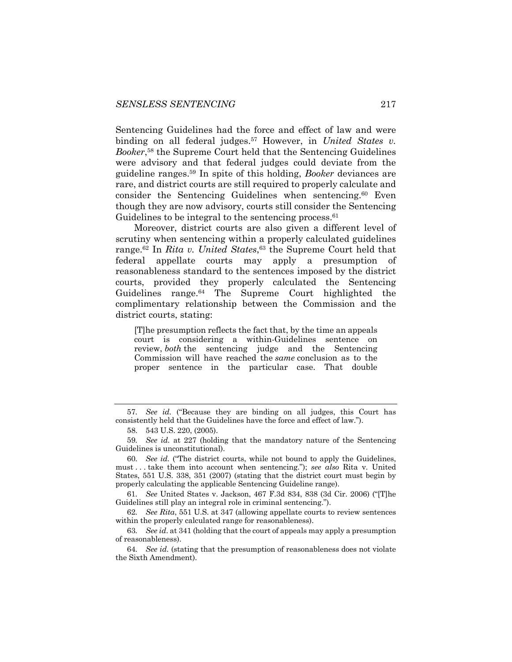Sentencing Guidelines had the force and effect of law and were binding on all federal judges.<sup>57</sup> However, in *United States v. Booker*, <sup>58</sup> the Supreme Court held that the Sentencing Guidelines were advisory and that federal judges could deviate from the guideline ranges.59 In spite of this holding, *Booker* deviances are rare, and district courts are still required to properly calculate and consider the Sentencing Guidelines when sentencing.60 Even though they are now advisory, courts still consider the Sentencing Guidelines to be integral to the sentencing process.  $61$ 

Moreover, district courts are also given a different level of scrutiny when sentencing within a properly calculated guidelines range.62 In *Rita v. United States*, <sup>63</sup> the Supreme Court held that federal appellate courts may apply a presumption of reasonableness standard to the sentences imposed by the district courts, provided they properly calculated the Sentencing Guidelines range.64 The Supreme Court highlighted the complimentary relationship between the Commission and the district courts, stating:

[T]he presumption reflects the fact that, by the time an appeals court is considering a within-Guidelines sentence on review, *both* the sentencing judge and the Sentencing Commission will have reached the *same* conclusion as to the proper sentence in the particular case. That double

61*. See* United States v. Jackson, 467 F.3d 834, 838 (3d Cir. 2006) ("[T]he Guidelines still play an integral role in criminal sentencing.").

62*. See Rita*, 551 U.S. at 347 (allowing appellate courts to review sentences within the properly calculated range for reasonableness).

63*. See id*. at 341 (holding that the court of appeals may apply a presumption of reasonableness).

64*. See id.* (stating that the presumption of reasonableness does not violate the Sixth Amendment).

<sup>57</sup>*. See id.* ("Because they are binding on all judges, this Court has consistently held that the Guidelines have the force and effect of law.").

<sup>58.</sup> 543 U.S. 220, (2005).

<sup>59</sup>*. See id.* at 227 (holding that the mandatory nature of the Sentencing Guidelines is unconstitutional).

<sup>60</sup>*. See id.* ("The district courts, while not bound to apply the Guidelines, must . . . take them into account when sentencing."); *see also* Rita v. United States, 551 U.S. 338, 351 (2007) (stating that the district court must begin by properly calculating the applicable Sentencing Guideline range).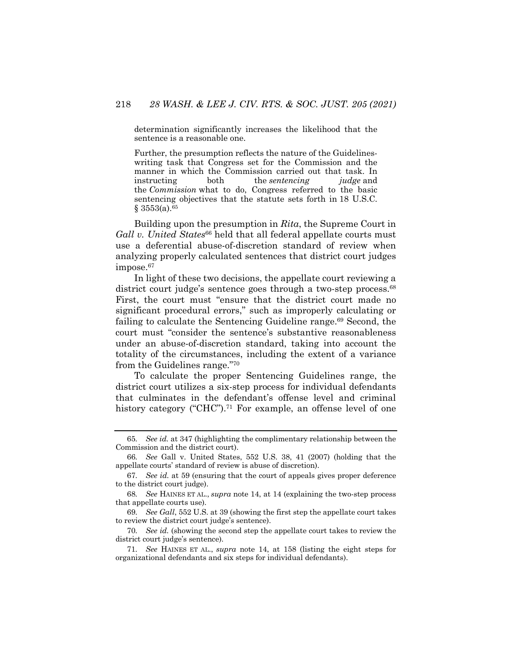determination significantly increases the likelihood that the sentence is a reasonable one.

Further, the presumption reflects the nature of the Guidelineswriting task that Congress set for the Commission and the manner in which the Commission carried out that task. In instructing both the *sentencing judge* and the *Commission* what to do, Congress referred to the basic sentencing objectives that the statute sets forth in 18 U.S.C.  $§ 3553(a).<sup>65</sup>$ 

Building upon the presumption in *Rita*, the Supreme Court in Gall v. United States<sup>66</sup> held that all federal appellate courts must use a deferential abuse-of-discretion standard of review when analyzing properly calculated sentences that district court judges impose.<sup>67</sup>

In light of these two decisions, the appellate court reviewing a district court judge's sentence goes through a two-step process.<sup>68</sup> First, the court must "ensure that the district court made no significant procedural errors," such as improperly calculating or failing to calculate the Sentencing Guideline range.<sup>69</sup> Second, the court must "consider the sentence's substantive reasonableness under an abuse-of-discretion standard, taking into account the totality of the circumstances, including the extent of a variance from the Guidelines range."70

To calculate the proper Sentencing Guidelines range, the district court utilizes a six-step process for individual defendants that culminates in the defendant's offense level and criminal history category ("CHC").<sup>71</sup> For example, an offense level of one

<sup>65</sup>*. See id.* at 347 (highlighting the complimentary relationship between the Commission and the district court).

<sup>66</sup>*. See* Gall v. United States, 552 U.S. 38, 41 (2007) (holding that the appellate courts' standard of review is abuse of discretion).

<sup>67</sup>*. See id.* at 59 (ensuring that the court of appeals gives proper deference to the district court judge).

<sup>68</sup>*. See* HAINES ET AL., *supra* note 14, at 14 (explaining the two-step process that appellate courts use).

<sup>69</sup>*. See Gall*, 552 U.S. at 39 (showing the first step the appellate court takes to review the district court judge's sentence).

<sup>70</sup>*. See id.* (showing the second step the appellate court takes to review the district court judge's sentence).

<sup>71</sup>*. See* HAINES ET AL., *supra* note 14, at 158 (listing the eight steps for organizational defendants and six steps for individual defendants).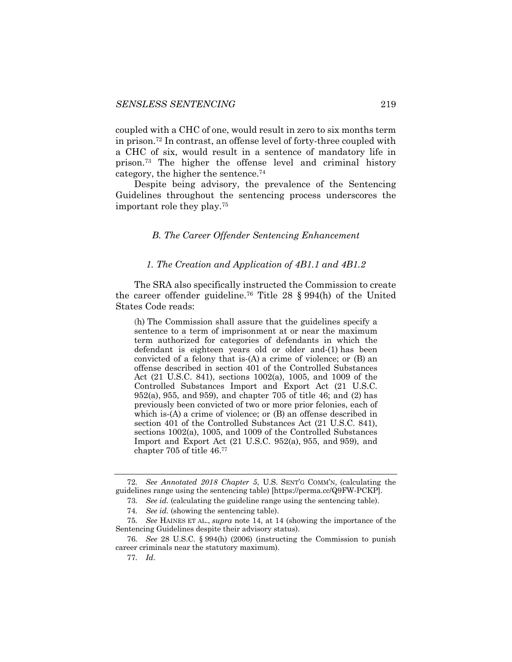coupled with a CHC of one, would result in zero to six months term in prison.72 In contrast, an offense level of forty-three coupled with a CHC of six, would result in a sentence of mandatory life in prison.73 The higher the offense level and criminal history category, the higher the sentence.74

Despite being advisory, the prevalence of the Sentencing Guidelines throughout the sentencing process underscores the important role they play.75

#### *B. The Career Offender Sentencing Enhancement*

#### *1. The Creation and Application of 4B1.1 and 4B1.2*

The SRA also specifically instructed the Commission to create the career offender guideline.76 Title 28 § 994(h) of the United States Code reads:

(h) The Commission shall assure that the guidelines specify a sentence to a term of imprisonment at or near the maximum term authorized for categories of defendants in which the defendant is eighteen years old or older and-(1) has been convicted of a felony that is-(A) a crime of violence; or (B) an offense described in section 401 of the Controlled Substances Act (21 U.S.C. 841), sections 1002(a), 1005, and 1009 of the Controlled Substances Import and Export Act (21 U.S.C. 952(a), 955, and 959), and chapter 705 of title 46; and (2) has previously been convicted of two or more prior felonies, each of which is-(A) a crime of violence; or (B) an offense described in section 401 of the Controlled Substances Act (21 U.S.C. 841), sections 1002(a), 1005, and 1009 of the Controlled Substances Import and Export Act (21 U.S.C. 952(a), 955, and 959), and chapter 705 of title 46.77

<sup>72</sup>*. See Annotated 2018 Chapter 5*, U.S. SENT'G COMM'N, (calculating the guidelines range using the sentencing table) [https://perma.cc/Q9FW-PCKP].

<sup>73</sup>*. See id.* (calculating the guideline range using the sentencing table).

<sup>74</sup>*. See id.* (showing the sentencing table).

<sup>75</sup>*. See* HAINES ET AL., *supra* note 14, at 14 (showing the importance of the Sentencing Guidelines despite their advisory status).

<sup>76</sup>*. See* 28 U.S.C. § 994(h) (2006) (instructing the Commission to punish career criminals near the statutory maximum).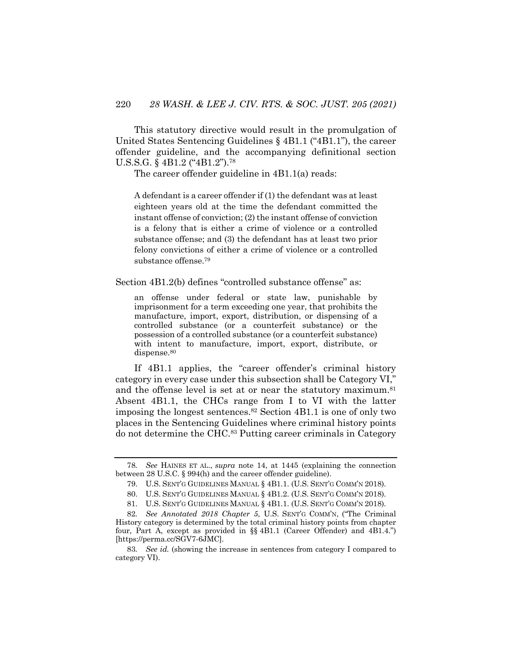This statutory directive would result in the promulgation of United States Sentencing Guidelines § 4B1.1 ("4B1.1"), the career offender guideline, and the accompanying definitional section U.S.S.G. § 4B1.2 ("4B1.2").78

The career offender guideline in 4B1.1(a) reads:

A defendant is a career offender if (1) the defendant was at least eighteen years old at the time the defendant committed the instant offense of conviction; (2) the instant offense of conviction is a felony that is either a crime of violence or a controlled substance offense; and (3) the defendant has at least two prior felony convictions of either a crime of violence or a controlled substance offense.79

Section  $4B1.2(b)$  defines "controlled substance offense" as:

an offense under federal or state law, punishable by imprisonment for a term exceeding one year, that prohibits the manufacture, import, export, distribution, or dispensing of a controlled substance (or a counterfeit substance) or the possession of a controlled substance (or a counterfeit substance) with intent to manufacture, import, export, distribute, or dispense.<sup>80</sup>

If 4B1.1 applies, the "career offender's criminal history category in every case under this subsection shall be Category VI," and the offense level is set at or near the statutory maximum.<sup>81</sup> Absent 4B1.1, the CHCs range from I to VI with the latter imposing the longest sentences. $82$  Section 4B1.1 is one of only two places in the Sentencing Guidelines where criminal history points do not determine the CHC.83 Putting career criminals in Category

<sup>78</sup>*. See* HAINES ET AL., *supra* note 14, at 1445 (explaining the connection between 28 U.S.C. § 994(h) and the career offender guideline).

<sup>79.</sup> U.S. SENT'G GUIDELINES MANUAL § 4B1.1. (U.S. SENT'G COMM'N 2018).

<sup>80.</sup> U.S. SENT'G GUIDELINES MANUAL § 4B1.2. (U.S. SENT'G COMM'N 2018).

<sup>81.</sup> U.S. SENT'G GUIDELINES MANUAL § 4B1.1. (U.S. SENT'G COMM'N 2018).

<sup>82</sup>*. See Annotated 2018 Chapter 5*, U.S. SENT'G COMM'N, ("The Criminal History category is determined by the total criminal history points from chapter four, Part A, except as provided in §§ 4B1.1 (Career Offender) and 4B1.4.") [https://perma.cc/SGV7-6JMC].

<sup>83</sup>*. See id.* (showing the increase in sentences from category I compared to category VI).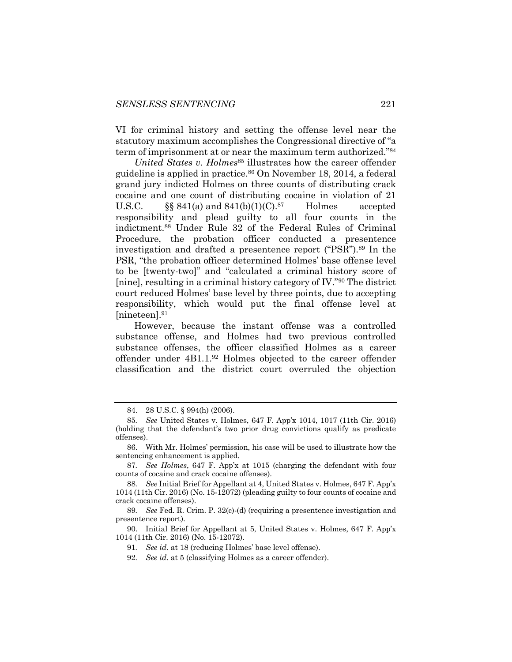VI for criminal history and setting the offense level near the statutory maximum accomplishes the Congressional directive of "a term of imprisonment at or near the maximum term authorized."84

*United States v. Holmes*<sup>85</sup> illustrates how the career offender guideline is applied in practice.86 On November 18, 2014, a federal grand jury indicted Holmes on three counts of distributing crack cocaine and one count of distributing cocaine in violation of 21 U.S.C.  $\S$ § 841(a) and 841(b)(1)(C).<sup>87</sup> Holmes accepted responsibility and plead guilty to all four counts in the indictment.88 Under Rule 32 of the Federal Rules of Criminal Procedure, the probation officer conducted a presentence investigation and drafted a presentence report ("PSR").<sup>89</sup> In the PSR, "the probation officer determined Holmes' base offense level to be [twenty-two]" and "calculated a criminal history score of [nine], resulting in a criminal history category of IV."90 The district court reduced Holmes' base level by three points, due to accepting responsibility, which would put the final offense level at [nineteen].91

However, because the instant offense was a controlled substance offense, and Holmes had two previous controlled substance offenses, the officer classified Holmes as a career offender under 4B1.1.92 Holmes objected to the career offender classification and the district court overruled the objection

<sup>84.</sup> 28 U.S.C. § 994(h) (2006).

<sup>85</sup>*. See* United States v. Holmes, 647 F. App'x 1014, 1017 (11th Cir. 2016) (holding that the defendant's two prior drug convictions qualify as predicate offenses).

<sup>86.</sup> With Mr. Holmes' permission, his case will be used to illustrate how the sentencing enhancement is applied.

<sup>87</sup>*. See Holmes*, 647 F. App'x at 1015 (charging the defendant with four counts of cocaine and crack cocaine offenses).

<sup>88</sup>*. See* Initial Brief for Appellant at 4, United States v. Holmes, 647 F. App'x 1014 (11th Cir. 2016) (No. 15-12072) (pleading guilty to four counts of cocaine and crack cocaine offenses).

<sup>89</sup>*. See* Fed. R. Crim. P. 32(c)-(d) (requiring a presentence investigation and presentence report).

<sup>90.</sup> Initial Brief for Appellant at 5, United States v. Holmes, 647 F. App'x 1014 (11th Cir. 2016) (No. 15-12072).

<sup>91</sup>*. See id.* at 18 (reducing Holmes' base level offense).

<sup>92</sup>*. See id.* at 5 (classifying Holmes as a career offender).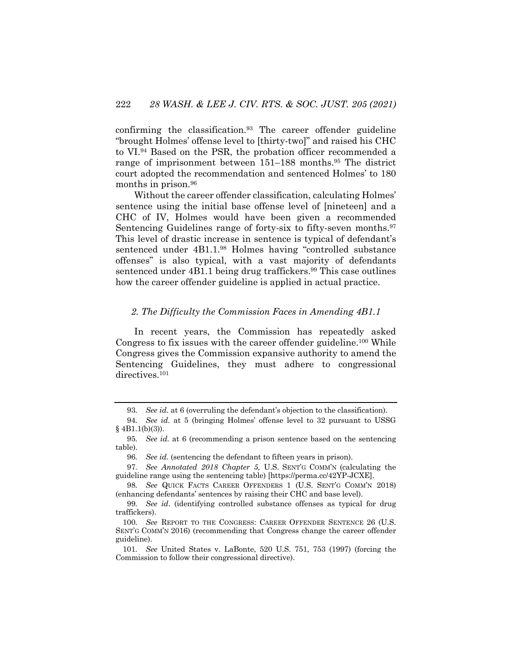confirming the classification.93 The career offender guideline "brought Holmes' offense level to [thirty-two]" and raised his CHC to VI.<sup>94</sup> Based on the PSR, the probation officer recommended a range of imprisonment between 151–188 months.95 The district court adopted the recommendation and sentenced Holmes' to 180 months in prison.<sup>96</sup>

Without the career offender classification, calculating Holmes' sentence using the initial base offense level of [nineteen] and a CHC of IV, Holmes would have been given a recommended Sentencing Guidelines range of forty-six to fifty-seven months.<sup>97</sup> This level of drastic increase in sentence is typical of defendant's sentenced under 4B1.1.98 Holmes having "controlled substance offenses" is also typical, with a vast majority of defendants sentenced under 4B1.1 being drug traffickers.<sup>99</sup> This case outlines how the career offender guideline is applied in actual practice.

#### *2. The Difficulty the Commission Faces in Amending 4B1.1*

In recent years, the Commission has repeatedly asked Congress to fix issues with the career offender guideline.100 While Congress gives the Commission expansive authority to amend the Sentencing Guidelines, they must adhere to congressional directives.<sup>101</sup>

<sup>93</sup>*. See id.* at 6 (overruling the defendant's objection to the classification).

<sup>94</sup>*. See id.* at 5 (bringing Holmes' offense level to 32 pursuant to USSG  $§$  4B1.1(b)(3)).

<sup>95</sup>*. See id.* at 6 (recommending a prison sentence based on the sentencing table).

<sup>96</sup>*. See id.* (sentencing the defendant to fifteen years in prison).

<sup>97</sup>*. See Annotated 2018 Chapter 5,* U.S. SENT'G COMM'N (calculating the guideline range using the sentencing table) [https://perma.cc/42YP-JCXE].

<sup>98</sup>*. See* QUICK FACTS CAREER OFFENDERS 1 (U.S. SENT'G COMM'N 2018) (enhancing defendants' sentences by raising their CHC and base level).

<sup>99</sup>*. See id*. (identifying controlled substance offenses as typical for drug traffickers).

<sup>100</sup>*. See* REPORT TO THE CONGRESS: CAREER OFFENDER SENTENCE 26 (U.S. SENT'G COMM'N 2016) (recommending that Congress change the career offender guideline).

<sup>101</sup>*. See* United States v. LaBonte, 520 U.S. 751, 753 (1997) (forcing the Commission to follow their congressional directive).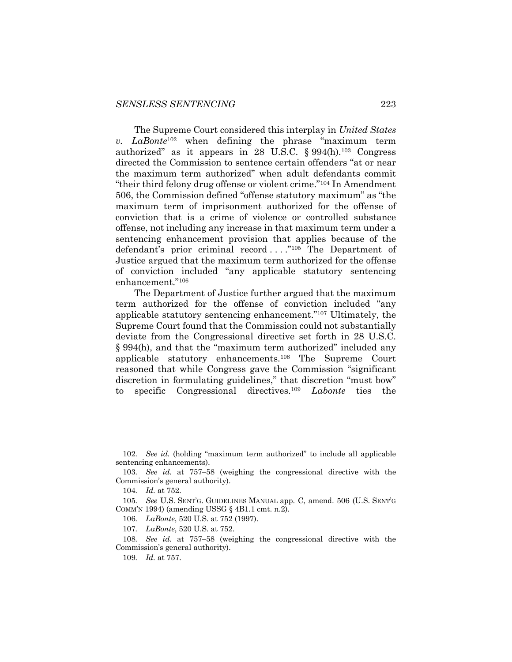The Supreme Court considered this interplay in *United States v. LaBonte*<sup>102</sup> when defining the phrase "maximum term authorized" as it appears in 28 U.S.C.  $\S 994(h).^{103}$  Congress directed the Commission to sentence certain offenders "at or near the maximum term authorized" when adult defendants commit "their third felony drug offense or violent crime."104 In Amendment 506, the Commission defined "offense statutory maximum" as "the maximum term of imprisonment authorized for the offense of conviction that is a crime of violence or controlled substance offense, not including any increase in that maximum term under a sentencing enhancement provision that applies because of the defendant's prior criminal record . . . ."105 The Department of Justice argued that the maximum term authorized for the offense of conviction included "any applicable statutory sentencing enhancement."106

The Department of Justice further argued that the maximum term authorized for the offense of conviction included "any applicable statutory sentencing enhancement."107 Ultimately, the Supreme Court found that the Commission could not substantially deviate from the Congressional directive set forth in 28 U.S.C. § 994(h), and that the "maximum term authorized" included any applicable statutory enhancements.108 The Supreme Court reasoned that while Congress gave the Commission "significant discretion in formulating guidelines," that discretion "must bow" to specific Congressional directives.109 *Labonte* ties the

<sup>102</sup>*. See id.* (holding "maximum term authorized" to include all applicable sentencing enhancements).

<sup>103</sup>*. See id.* at 757–58 (weighing the congressional directive with the Commission's general authority).

<sup>104</sup>*. Id.* at 752.

<sup>105</sup>*. See* U.S. SENT'G. GUIDELINES MANUAL app. C, amend. 506 (U.S. SENT'G COMM'N 1994) (amending USSG § 4B1.1 cmt. n.2).

<sup>106</sup>*. LaBonte*, 520 U.S. at 752 (1997).

<sup>107</sup>*. LaBonte*, 520 U.S. at 752.

<sup>108</sup>*. See id.* at 757–58 (weighing the congressional directive with the Commission's general authority).

<sup>109</sup>*. Id.* at 757.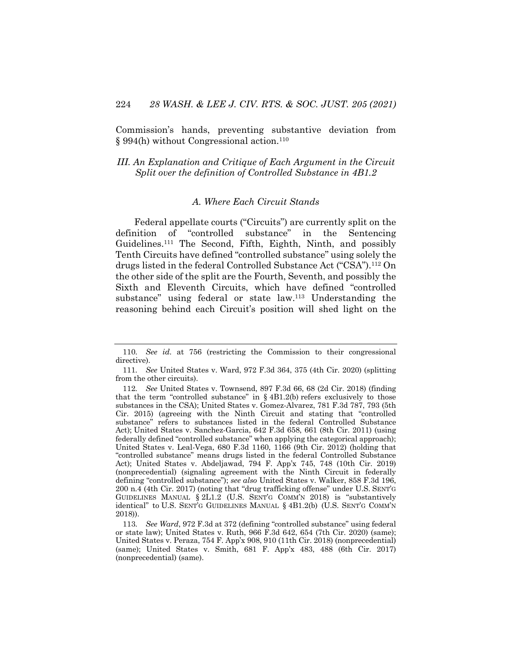Commission's hands, preventing substantive deviation from  $\S 994(h)$  without Congressional action.<sup>110</sup>

## *III. An Explanation and Critique of Each Argument in the Circuit Split over the definition of Controlled Substance in 4B1.2*

#### *A. Where Each Circuit Stands*

Federal appellate courts ("Circuits") are currently split on the definition of "controlled substance" in the Sentencing Guidelines.111 The Second, Fifth, Eighth, Ninth, and possibly Tenth Circuits have defined "controlled substance" using solely the drugs listed in the federal Controlled Substance Act ("CSA").112 On the other side of the split are the Fourth, Seventh, and possibly the Sixth and Eleventh Circuits, which have defined "controlled substance" using federal or state law.113 Understanding the reasoning behind each Circuit's position will shed light on the

<sup>110</sup>*. See id*. at 756 (restricting the Commission to their congressional directive).

<sup>111</sup>*. See* United States v. Ward, 972 F.3d 364, 375 (4th Cir. 2020) (splitting from the other circuits).

<sup>112</sup>*. See* United States v. Townsend, 897 F.3d 66, 68 (2d Cir. 2018) (finding that the term "controlled substance" in  $\S 4B1.2(b)$  refers exclusively to those substances in the CSA); United States v. Gomez-Alvarez, 781 F.3d 787, 793 (5th Cir. 2015) (agreeing with the Ninth Circuit and stating that "controlled substance" refers to substances listed in the federal Controlled Substance Act); United States v. Sanchez-Garcia, 642 F.3d 658, 661 (8th Cir. 2011) (using federally defined "controlled substance" when applying the categorical approach); United States v. Leal-Vega, 680 F.3d 1160, 1166 (9th Cir. 2012) (holding that "controlled substance" means drugs listed in the federal Controlled Substance Act); United States v. Abdeljawad, 794 F. App'x 745, 748 (10th Cir. 2019) (nonprecedential) (signaling agreement with the Ninth Circuit in federally defining "controlled substance"); *see also* United States v. Walker, 858 F.3d 196, 200 n.4 (4th Cir. 2017) (noting that "drug trafficking offense" under U.S. SENT'G GUIDELINES MANUAL § 2L1.2 (U.S. SENT'G COMM'N 2018) is "substantively identical" to U.S. SENT'G GUIDELINES MANUAL § 4B1.2(b) (U.S. SENT'G COMM'N 2018)).

<sup>113</sup>*. See Ward*, 972 F.3d at 372 (defining "controlled substance" using federal or state law); United States v. Ruth, 966 F.3d 642, 654 (7th Cir. 2020) (same); United States v. Peraza, 754 F. App'x 908, 910 (11th Cir. 2018) (nonprecedential) (same); United States v. Smith, 681 F. App'x 483, 488 (6th Cir. 2017) (nonprecedential) (same).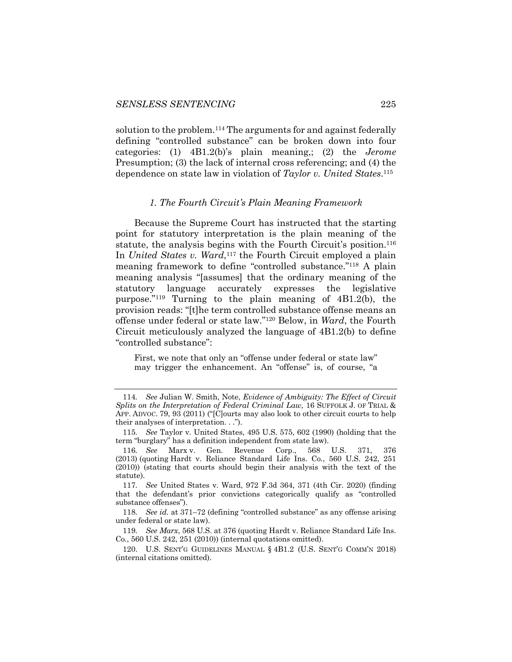solution to the problem.<sup>114</sup> The arguments for and against federally defining "controlled substance" can be broken down into four categories: (1) 4B1.2(b)'s plain meaning,; (2) the *Jerome*  Presumption; (3) the lack of internal cross referencing; and (4) the dependence on state law in violation of *Taylor v. United States*. 115

#### *1. The Fourth Circuit's Plain Meaning Framework*

Because the Supreme Court has instructed that the starting point for statutory interpretation is the plain meaning of the statute, the analysis begins with the Fourth Circuit's position.<sup>116</sup> In *United States v. Ward*,<sup>117</sup> the Fourth Circuit employed a plain meaning framework to define "controlled substance."118 A plain meaning analysis "[assumes] that the ordinary meaning of the statutory language accurately expresses the legislative purpose."119 Turning to the plain meaning of 4B1.2(b), the provision reads: "[t]he term controlled substance offense means an offense under federal or state law."120 Below, in *Ward*, the Fourth Circuit meticulously analyzed the language of 4B1.2(b) to define "controlled substance":

First, we note that only an "offense under federal or state law" may trigger the enhancement. An "offense" is, of course, "a

<sup>114</sup>*. See* Julian W. Smith, Note, *Evidence of Ambiguity: The Effect of Circuit Splits on the Interpretation of Federal Criminal Law*, 16 SUFFOLK J. OF TRIAL & APP. ADVOC. 79, 93 (2011) ("[C]ourts may also look to other circuit courts to help their analyses of interpretation. . .").

<sup>115</sup>*. See* Taylor v. United States, 495 U.S. 575, 602 (1990) (holding that the term "burglary" has a definition independent from state law).

<sup>116</sup>*. See* Marx v. Gen. Revenue Corp., 568 U.S. 371, 376 (2013) (quoting Hardt v. Reliance Standard Life Ins. Co*.*, 560 U.S. 242, 251 (2010)) (stating that courts should begin their analysis with the text of the statute).

<sup>117</sup>*. See* United States v. Ward, 972 F.3d 364, 371 (4th Cir. 2020) (finding that the defendant's prior convictions categorically qualify as "controlled substance offenses").

<sup>118</sup>*. See id.* at 371–72 (defining "controlled substance" as any offense arising under federal or state law).

<sup>119</sup>*. See Marx*, 568 U.S. at 376 (quoting Hardt v. Reliance Standard Life Ins. Co*.*, 560 U.S. 242, 251 (2010)) (internal quotations omitted).

<sup>120.</sup> U.S. SENT'G GUIDELINES MANUAL § 4B1.2 (U.S. SENT'G COMM'N 2018) (internal citations omitted).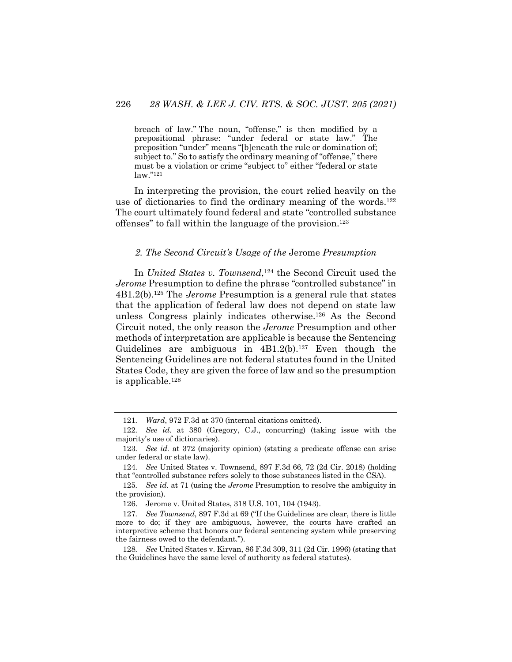breach of law." The noun, "offense," is then modified by a prepositional phrase: "under federal or state law." The preposition "under" means "[b]eneath the rule or domination of; subject to." So to satisfy the ordinary meaning of "offense," there must be a violation or crime "subject to" either "federal or state law."121

In interpreting the provision, the court relied heavily on the use of dictionaries to find the ordinary meaning of the words.<sup>122</sup> The court ultimately found federal and state "controlled substance offenses" to fall within the language of the provision.123

## *2. The Second Circuit's Usage of the* Jerome *Presumption*

In *United States v. Townsend*,124 the Second Circuit used the *Jerome* Presumption to define the phrase "controlled substance" in 4B1.2(b).125 The *Jerome* Presumption is a general rule that states that the application of federal law does not depend on state law unless Congress plainly indicates otherwise.126 As the Second Circuit noted, the only reason the *Jerome* Presumption and other methods of interpretation are applicable is because the Sentencing Guidelines are ambiguous in  $4B1.2(b)$ .<sup>127</sup> Even though the Sentencing Guidelines are not federal statutes found in the United States Code, they are given the force of law and so the presumption is applicable.128

<sup>121</sup>*. Ward*, 972 F.3d at 370 (internal citations omitted).

<sup>122</sup>*. See id*. at 380 (Gregory, C.J., concurring) (taking issue with the majority's use of dictionaries).

<sup>123</sup>*. See id.* at 372 (majority opinion) (stating a predicate offense can arise under federal or state law).

<sup>124</sup>*. See* United States v. Townsend, 897 F.3d 66, 72 (2d Cir. 2018) (holding that "controlled substance refers solely to those substances listed in the CSA).

<sup>125</sup>*. See id.* at 71 (using the *Jerome* Presumption to resolve the ambiguity in the provision).

<sup>126.</sup> Jerome v. United States, 318 U.S. 101, 104 (1943).

<sup>127</sup>*. See Townsend*, 897 F.3d at 69 ("If the Guidelines are clear, there is little more to do; if they are ambiguous, however, the courts have crafted an interpretive scheme that honors our federal sentencing system while preserving the fairness owed to the defendant.").

<sup>128</sup>*. See* United States v. Kirvan, 86 F.3d 309, 311 (2d Cir. 1996) (stating that the Guidelines have the same level of authority as federal statutes).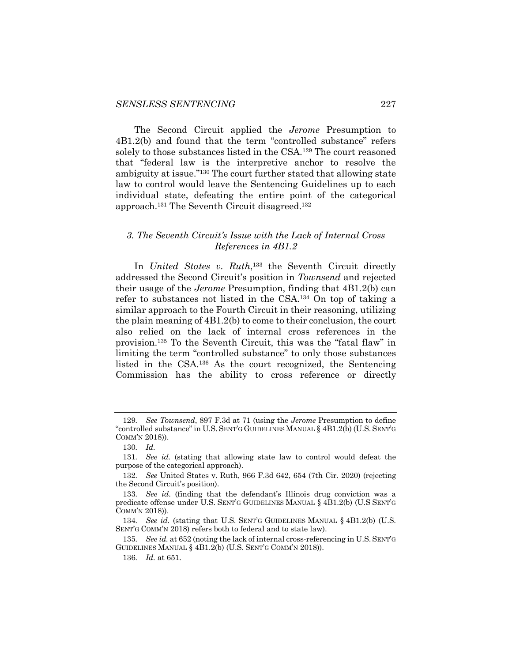The Second Circuit applied the *Jerome* Presumption to 4B1.2(b) and found that the term "controlled substance" refers solely to those substances listed in the CSA.<sup>129</sup> The court reasoned that "federal law is the interpretive anchor to resolve the ambiguity at issue."130 The court further stated that allowing state law to control would leave the Sentencing Guidelines up to each individual state, defeating the entire point of the categorical approach.131 The Seventh Circuit disagreed.132

## *3. The Seventh Circuit's Issue with the Lack of Internal Cross References in 4B1.2*

In *United States v. Ruth*, <sup>133</sup> the Seventh Circuit directly addressed the Second Circuit's position in *Townsend* and rejected their usage of the *Jerome* Presumption, finding that 4B1.2(b) can refer to substances not listed in the CSA.134 On top of taking a similar approach to the Fourth Circuit in their reasoning, utilizing the plain meaning of 4B1.2(b) to come to their conclusion, the court also relied on the lack of internal cross references in the provision.135 To the Seventh Circuit, this was the "fatal flaw" in limiting the term "controlled substance" to only those substances listed in the CSA.136 As the court recognized, the Sentencing Commission has the ability to cross reference or directly

<sup>129</sup>*. See Townsend*, 897 F.3d at 71 (using the *Jerome* Presumption to define "controlled substance" in U.S. SENT'G GUIDELINES MANUAL § 4B1.2(b) (U.S. SENT'G COMM'N 2018)).

<sup>130</sup>*. Id.*

<sup>131</sup>*. See id.* (stating that allowing state law to control would defeat the purpose of the categorical approach).

<sup>132</sup>*. See* United States v. Ruth, 966 F.3d 642, 654 (7th Cir. 2020) (rejecting the Second Circuit's position).

<sup>133</sup>*. See id*. (finding that the defendant's Illinois drug conviction was a predicate offense under U.S. SENT'G GUIDELINES MANUAL § 4B1.2(b) (U.S SENT'G COMM'N 2018)).

<sup>134</sup>*. See id.* (stating that U.S. SENT'G GUIDELINES MANUAL § 4B1.2(b) (U.S. SENT'G COMM'N 2018) refers both to federal and to state law).

<sup>135</sup>*. See id.* at 652 (noting the lack of internal cross-referencing in U.S. SENT'G GUIDELINES MANUAL § 4B1.2(b) (U.S. SENT'G COMM'N 2018)).

<sup>136</sup>*. Id.* at 651.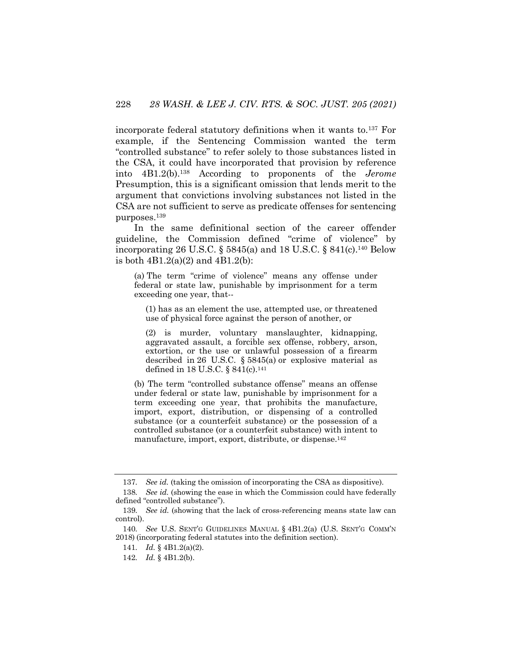incorporate federal statutory definitions when it wants to.137 For example, if the Sentencing Commission wanted the term "controlled substance" to refer solely to those substances listed in the CSA, it could have incorporated that provision by reference into 4B1.2(b).138 According to proponents of the *Jerome*  Presumption, this is a significant omission that lends merit to the argument that convictions involving substances not listed in the CSA are not sufficient to serve as predicate offenses for sentencing purposes. 139

In the same definitional section of the career offender guideline, the Commission defined "crime of violence" by incorporating 26 U.S.C.  $\S$  5845(a) and 18 U.S.C.  $\S$  841(c).<sup>140</sup> Below is both 4B1.2(a)(2) and 4B1.2(b):

(a) The term "crime of violence" means any offense under federal or state law, punishable by imprisonment for a term exceeding one year, that--

(1) has as an element the use, attempted use, or threatened use of physical force against the person of another, or

(2) is murder, voluntary manslaughter, kidnapping, aggravated assault, a forcible sex offense, robbery, arson, extortion, or the use or unlawful possession of a firearm described in 26 U.S.C. § 5845(a) or explosive material as defined in 18 U.S.C. § 841(c).141

(b) The term "controlled substance offense" means an offense under federal or state law, punishable by imprisonment for a term exceeding one year, that prohibits the manufacture, import, export, distribution, or dispensing of a controlled substance (or a counterfeit substance) or the possession of a controlled substance (or a counterfeit substance) with intent to manufacture, import, export, distribute, or dispense.142

<sup>137</sup>*. See id.* (taking the omission of incorporating the CSA as dispositive).

<sup>138</sup>*. See id.* (showing the ease in which the Commission could have federally defined "controlled substance").

<sup>139</sup>*. See id.* (showing that the lack of cross-referencing means state law can control).

<sup>140</sup>*. See* U.S. SENT'G GUIDELINES MANUAL § 4B1.2(a) (U.S. SENT'G COMM'N 2018) (incorporating federal statutes into the definition section).

<sup>141</sup>*. Id.* § 4B1.2(a)(2).

<sup>142</sup>*. Id.* § 4B1.2(b).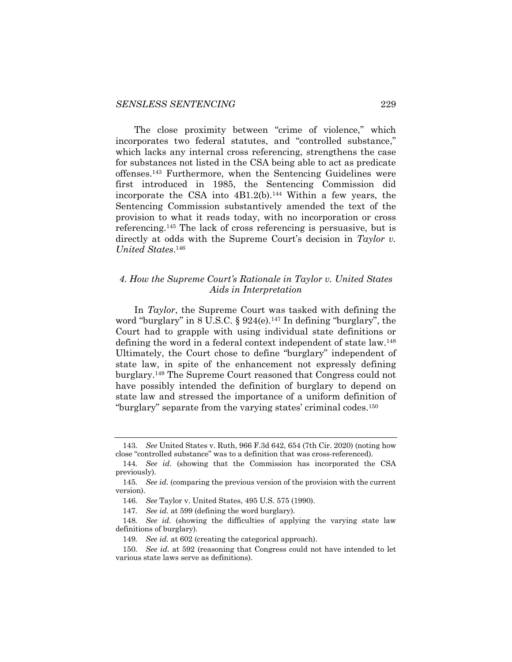The close proximity between "crime of violence," which incorporates two federal statutes, and "controlled substance," which lacks any internal cross referencing, strengthens the case for substances not listed in the CSA being able to act as predicate offenses.143 Furthermore, when the Sentencing Guidelines were first introduced in 1985, the Sentencing Commission did incorporate the CSA into  $4B1.2(b)$ .<sup>144</sup> Within a few years, the Sentencing Commission substantively amended the text of the provision to what it reads today, with no incorporation or cross referencing.145 The lack of cross referencing is persuasive, but is directly at odds with the Supreme Court's decision in *Taylor v. United States*. 146

## *4. How the Supreme Court's Rationale in Taylor v. United States Aids in Interpretation*

In *Taylor*, the Supreme Court was tasked with defining the word "burglary" in 8 U.S.C.  $\S 924(e)$ .<sup>147</sup> In defining "burglary", the Court had to grapple with using individual state definitions or defining the word in a federal context independent of state law.<sup>148</sup> Ultimately, the Court chose to define "burglary" independent of state law, in spite of the enhancement not expressly defining burglary.149 The Supreme Court reasoned that Congress could not have possibly intended the definition of burglary to depend on state law and stressed the importance of a uniform definition of "burglary" separate from the varying states' criminal codes.150

<sup>143</sup>*. See* United States v. Ruth, 966 F.3d 642, 654 (7th Cir. 2020) (noting how close "controlled substance" was to a definition that was cross-referenced).

<sup>144</sup>*. See id.* (showing that the Commission has incorporated the CSA previously).

<sup>145</sup>*. See id.* (comparing the previous version of the provision with the current version).

<sup>146</sup>*. See* Taylor v. United States, 495 U.S. 575 (1990).

<sup>147</sup>*. See id.* at 599 (defining the word burglary).

<sup>148</sup>*. See id.* (showing the difficulties of applying the varying state law definitions of burglary).

<sup>149</sup>*. See id.* at 602 (creating the categorical approach).

<sup>150</sup>*. See id.* at 592 (reasoning that Congress could not have intended to let various state laws serve as definitions).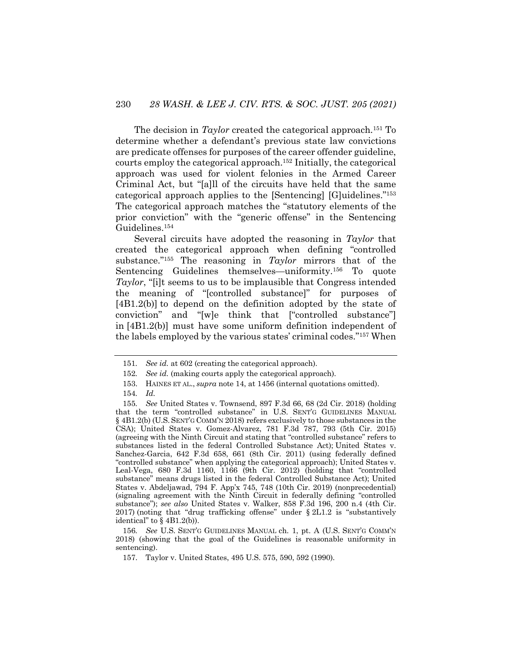The decision in *Taylor* created the categorical approach.<sup>151</sup> To determine whether a defendant's previous state law convictions are predicate offenses for purposes of the career offender guideline, courts employ the categorical approach.152 Initially, the categorical approach was used for violent felonies in the Armed Career Criminal Act, but "[a]ll of the circuits have held that the same categorical approach applies to the [Sentencing] [G]uidelines."153 The categorical approach matches the "statutory elements of the prior conviction" with the "generic offense" in the Sentencing Guidelines.154

Several circuits have adopted the reasoning in *Taylor* that created the categorical approach when defining "controlled substance."155 The reasoning in *Taylor* mirrors that of the Sentencing Guidelines themselves—uniformity.<sup>156</sup> To quote *Taylor*, "[i]t seems to us to be implausible that Congress intended the meaning of "[controlled substance]" for purposes of [4B1.2(b)] to depend on the definition adopted by the state of conviction" and "[w]e think that ["controlled substance"] in [4B1.2(b)] must have some uniform definition independent of the labels employed by the various states' criminal codes."157 When

156*. See* U.S. SENT'G GUIDELINES MANUAL ch. 1, pt. A (U.S. SENT'G COMM'N 2018) (showing that the goal of the Guidelines is reasonable uniformity in sentencing).

<sup>151</sup>*. See id.* at 602 (creating the categorical approach).

<sup>152</sup>*. See id.* (making courts apply the categorical approach).

<sup>153.</sup> HAINES ET AL., *supra* note 14, at 1456 (internal quotations omitted).

<sup>154</sup>*. Id.*

<sup>155</sup>*. See* United States v. Townsend, 897 F.3d 66, 68 (2d Cir. 2018) (holding that the term "controlled substance" in U.S. SENT'G GUIDELINES MANUAL § 4B1.2(b) (U.S. SENT'G COMM'N 2018) refers exclusively to those substances in the CSA); United States v. Gomez-Alvarez, 781 F.3d 787, 793 (5th Cir. 2015) (agreeing with the Ninth Circuit and stating that "controlled substance" refers to substances listed in the federal Controlled Substance Act); United States v. Sanchez-Garcia, 642 F.3d 658, 661 (8th Cir. 2011) (using federally defined "controlled substance" when applying the categorical approach); United States v. Leal-Vega, 680 F.3d 1160, 1166 (9th Cir. 2012) (holding that "controlled substance" means drugs listed in the federal Controlled Substance Act); United States v. Abdeljawad, 794 F. App'x 745, 748 (10th Cir. 2019) (nonprecedential) (signaling agreement with the Ninth Circuit in federally defining "controlled substance"); *see also* United States v. Walker, 858 F.3d 196, 200 n.4 (4th Cir. 2017) (noting that "drug trafficking offense" under § 2L1.2 is "substantively identical" to  $\S$  4B1.2(b)).

<sup>157.</sup> Taylor v. United States, 495 U.S. 575, 590, 592 (1990).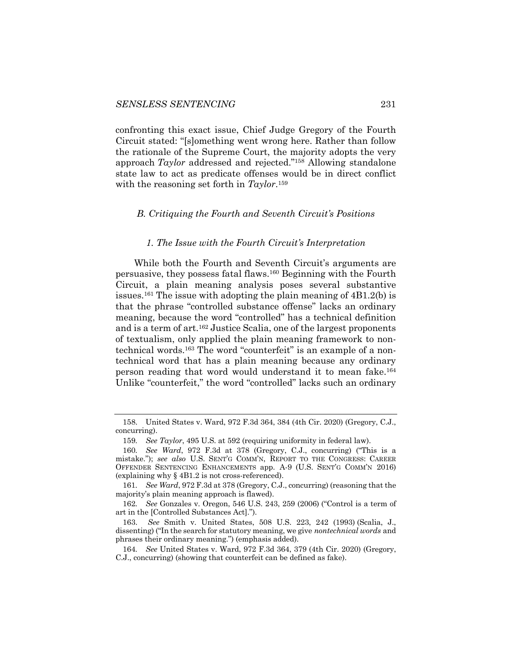confronting this exact issue, Chief Judge Gregory of the Fourth Circuit stated: "[s]omething went wrong here. Rather than follow the rationale of the Supreme Court, the majority adopts the very approach *Taylor* addressed and rejected."158 Allowing standalone state law to act as predicate offenses would be in direct conflict with the reasoning set forth in *Taylor*.159

#### *B. Critiquing the Fourth and Seventh Circuit's Positions*

#### *1. The Issue with the Fourth Circuit's Interpretation*

While both the Fourth and Seventh Circuit's arguments are persuasive, they possess fatal flaws.160 Beginning with the Fourth Circuit, a plain meaning analysis poses several substantive issues.161 The issue with adopting the plain meaning of 4B1.2(b) is that the phrase "controlled substance offense" lacks an ordinary meaning, because the word "controlled" has a technical definition and is a term of art.162 Justice Scalia, one of the largest proponents of textualism, only applied the plain meaning framework to nontechnical words.163 The word "counterfeit" is an example of a nontechnical word that has a plain meaning because any ordinary person reading that word would understand it to mean fake.164 Unlike "counterfeit," the word "controlled" lacks such an ordinary

<sup>158.</sup> United States v. Ward, 972 F.3d 364, 384 (4th Cir. 2020) (Gregory, C.J., concurring).

<sup>159</sup>*. See Taylor*, 495 U.S. at 592 (requiring uniformity in federal law).

<sup>160</sup>*. See Ward*, 972 F.3d at 378 (Gregory, C.J., concurring) ("This is a mistake."); *see also* U.S. SENT'G COMM'N, REPORT TO THE CONGRESS: CAREER OFFENDER SENTENCING ENHANCEMENTS app. A-9 (U.S. SENT'G COMM'N 2016) (explaining why § 4B1.2 is not cross-referenced).

<sup>161</sup>*. See Ward*, 972 F.3d at 378 (Gregory, C.J., concurring) (reasoning that the majority's plain meaning approach is flawed).

<sup>162</sup>*. See* Gonzales v. Oregon, 546 U.S. 243, 259 (2006) ("Control is a term of art in the [Controlled Substances Act].").

<sup>163.</sup> *See* Smith v. United States, 508 U.S. 223, 242 (1993) (Scalia, J., dissenting) ("In the search for statutory meaning, we give *nontechnical words* and phrases their ordinary meaning.") (emphasis added).

<sup>164</sup>*. See* United States v. Ward, 972 F.3d 364, 379 (4th Cir. 2020) (Gregory, C.J., concurring) (showing that counterfeit can be defined as fake).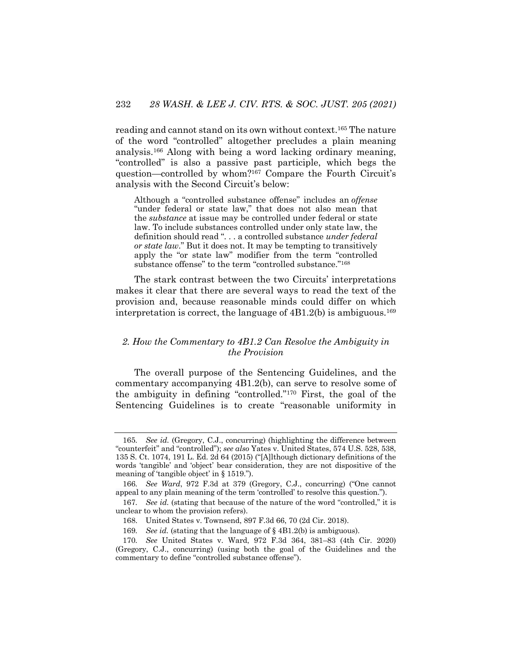reading and cannot stand on its own without context.165 The nature of the word "controlled" altogether precludes a plain meaning analysis.166 Along with being a word lacking ordinary meaning, "controlled" is also a passive past participle, which begs the question—controlled by whom?167 Compare the Fourth Circuit's analysis with the Second Circuit's below:

Although a "controlled substance offense" includes an *offense* "under federal or state law," that does not also mean that the *substance* at issue may be controlled under federal or state law. To include substances controlled under only state law, the definition should read ". . . a controlled substance *under federal or state law*." But it does not. It may be tempting to transitively apply the "or state law" modifier from the term "controlled substance offense" to the term "controlled substance."<sup>168</sup>

The stark contrast between the two Circuits' interpretations makes it clear that there are several ways to read the text of the provision and, because reasonable minds could differ on which interpretation is correct, the language of  $4B1.2(b)$  is ambiguous.<sup>169</sup>

## *2. How the Commentary to 4B1.2 Can Resolve the Ambiguity in the Provision*

The overall purpose of the Sentencing Guidelines, and the commentary accompanying 4B1.2(b), can serve to resolve some of the ambiguity in defining "controlled."170 First, the goal of the Sentencing Guidelines is to create "reasonable uniformity in

<sup>165</sup>*. See id.* (Gregory, C.J., concurring) (highlighting the difference between "counterfeit" and "controlled"); *see also* Yates v. United States, 574 U.S. 528, 538, 135 S. Ct. 1074, 191 L. Ed. 2d 64 (2015) ("[A]lthough dictionary definitions of the words 'tangible' and 'object' bear consideration, they are not dispositive of the meaning of 'tangible object' in § 1519.").

<sup>166</sup>*. See Ward*, 972 F.3d at 379 (Gregory, C.J., concurring) ("One cannot appeal to any plain meaning of the term 'controlled' to resolve this question.").

<sup>167</sup>*. See id.* (stating that because of the nature of the word "controlled," it is unclear to whom the provision refers).

<sup>168.</sup> United States v. Townsend, 897 F.3d 66, 70 (2d Cir. 2018).

<sup>169</sup>*. See id.* (stating that the language of § 4B1.2(b) is ambiguous).

<sup>170</sup>*. See* United States v. Ward, 972 F.3d 364, 381–83 (4th Cir. 2020) (Gregory, C.J., concurring) (using both the goal of the Guidelines and the commentary to define "controlled substance offense").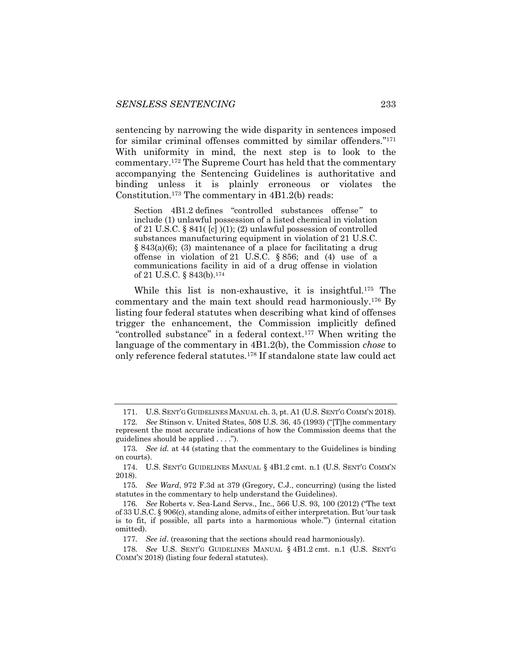sentencing by narrowing the wide disparity in sentences imposed for similar criminal offenses committed by similar offenders."171 With uniformity in mind, the next step is to look to the commentary.172 The Supreme Court has held that the commentary accompanying the Sentencing Guidelines is authoritative and binding unless it is plainly erroneous or violates the Constitution.173 The commentary in 4B1.2(b) reads:

Section 4B1.2 defines "controlled substances offense*"* to include (1) unlawful possession of a listed chemical in violation of 21 U.S.C. § 841( [c] )(1); (2) unlawful possession of controlled substances manufacturing equipment in violation of 21 U.S.C. § 843(a)(6); (3) maintenance of a place for facilitating a drug offense in violation of 21 U.S.C. § 856; and (4) use of a communications facility in aid of a drug offense in violation of 21 U.S.C. § 843(b).174

While this list is non-exhaustive, it is insightful.175 The commentary and the main text should read harmoniously.176 By listing four federal statutes when describing what kind of offenses trigger the enhancement, the Commission implicitly defined "controlled substance" in a federal context.177 When writing the language of the commentary in 4B1.2(b), the Commission *chose* to only reference federal statutes.178 If standalone state law could act

177*. See id*. (reasoning that the sections should read harmoniously).

<sup>171.</sup> U.S. SENT'G GUIDELINES MANUAL ch. 3, pt. A1 (U.S. SENT'G COMM'N 2018).

<sup>172</sup>*. See* Stinson v. United States, 508 U.S. 36, 45 (1993) ("[T]he commentary represent the most accurate indications of how the Commission deems that the guidelines should be applied . . . .").

<sup>173</sup>*. See id.* at 44 (stating that the commentary to the Guidelines is binding on courts).

<sup>174.</sup> U.S. SENT'G GUIDELINES MANUAL § 4B1.2 cmt. n.1 (U.S. SENT'G COMM'N 2018).

<sup>175</sup>*. See Ward*, 972 F.3d at 379 (Gregory, C.J., concurring) (using the listed statutes in the commentary to help understand the Guidelines).

<sup>176</sup>*. See* Roberts v. Sea-Land Servs., Inc., 566 U.S. 93, 100 (2012) ("The text of 33 U.S.C. § 906(c), standing alone, admits of either interpretation. But 'our task is to fit, if possible, all parts into a harmonious whole.'") (internal citation omitted).

<sup>178</sup>*. See* U.S. SENT'G GUIDELINES MANUAL § 4B1.2 cmt. n.1 (U.S. SENT'G COMM'N 2018) (listing four federal statutes).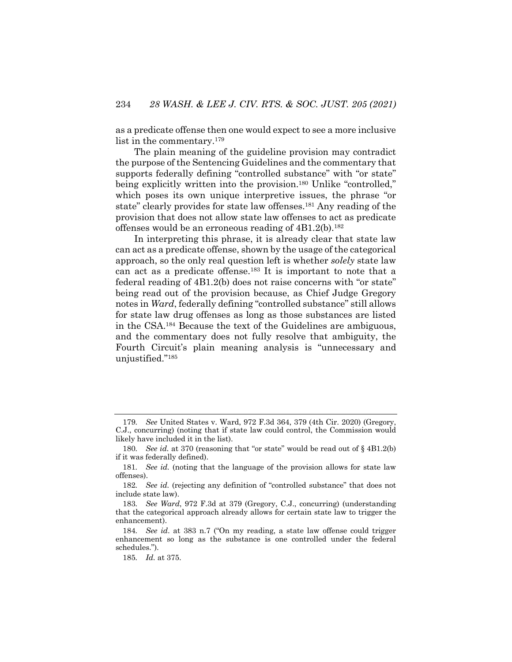as a predicate offense then one would expect to see a more inclusive list in the commentary.<sup>179</sup>

The plain meaning of the guideline provision may contradict the purpose of the Sentencing Guidelines and the commentary that supports federally defining "controlled substance" with "or state" being explicitly written into the provision.<sup>180</sup> Unlike "controlled," which poses its own unique interpretive issues, the phrase "or state" clearly provides for state law offenses.181 Any reading of the provision that does not allow state law offenses to act as predicate offenses would be an erroneous reading of  $4B1.2(b)$ .<sup>182</sup>

In interpreting this phrase, it is already clear that state law can act as a predicate offense, shown by the usage of the categorical approach, so the only real question left is whether *solely* state law can act as a predicate offense.183 It is important to note that a federal reading of 4B1.2(b) does not raise concerns with "or state" being read out of the provision because, as Chief Judge Gregory notes in *Ward*, federally defining "controlled substance" still allows for state law drug offenses as long as those substances are listed in the CSA.184 Because the text of the Guidelines are ambiguous, and the commentary does not fully resolve that ambiguity, the Fourth Circuit's plain meaning analysis is "unnecessary and unjustified."185

<sup>179</sup>*. See* United States v. Ward, 972 F.3d 364, 379 (4th Cir. 2020) (Gregory, C.J., concurring) (noting that if state law could control, the Commission would likely have included it in the list).

<sup>180</sup>*. See id.* at 370 (reasoning that "or state" would be read out of § 4B1.2(b) if it was federally defined).

<sup>181</sup>*. See id.* (noting that the language of the provision allows for state law offenses).

<sup>182</sup>*. See id.* (rejecting any definition of "controlled substance" that does not include state law).

<sup>183</sup>*. See Ward*, 972 F.3d at 379 (Gregory, C.J., concurring) (understanding that the categorical approach already allows for certain state law to trigger the enhancement).

<sup>184</sup>*. See id*. at 383 n.7 ("On my reading, a state law offense could trigger enhancement so long as the substance is one controlled under the federal schedules.").

<sup>185</sup>*. Id.* at 375.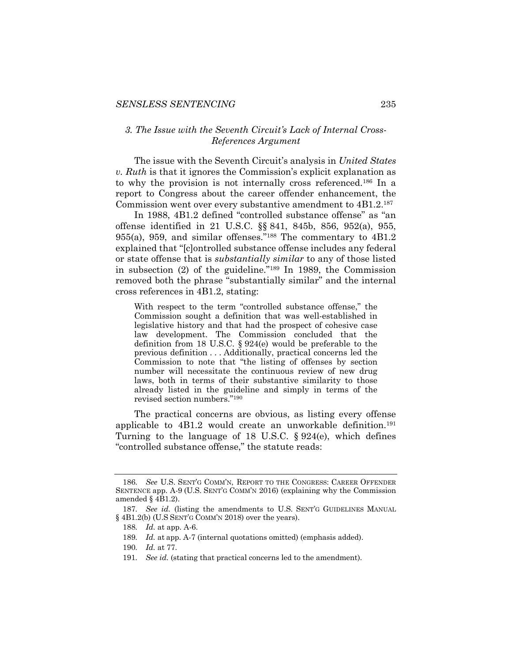## *3. The Issue with the Seventh Circuit's Lack of Internal Cross-References Argument*

The issue with the Seventh Circuit's analysis in *United States v. Ruth* is that it ignores the Commission's explicit explanation as to why the provision is not internally cross referenced.186 In a report to Congress about the career offender enhancement, the Commission went over every substantive amendment to 4B1.2.187

In 1988, 4B1.2 defined "controlled substance offense" as "an offense identified in 21 U.S.C. §§ 841, 845b, 856, 952(a), 955, 955(a), 959, and similar offenses."188 The commentary to 4B1.2 explained that "[c]ontrolled substance offense includes any federal or state offense that is *substantially similar* to any of those listed in subsection (2) of the guideline."189 In 1989, the Commission removed both the phrase "substantially similar" and the internal cross references in 4B1.2, stating:

With respect to the term "controlled substance offense," the Commission sought a definition that was well-established in legislative history and that had the prospect of cohesive case law development. The Commission concluded that the definition from 18 U.S.C. § 924(e) would be preferable to the previous definition . . . Additionally, practical concerns led the Commission to note that "the listing of offenses by section number will necessitate the continuous review of new drug laws, both in terms of their substantive similarity to those already listed in the guideline and simply in terms of the revised section numbers."190

The practical concerns are obvious, as listing every offense applicable to  $4B1.2$  would create an unworkable definition.<sup>191</sup> Turning to the language of 18 U.S.C. § 924(e), which defines "controlled substance offense," the statute reads:

<sup>186</sup>*. See* U.S. SENT'G COMM'N, REPORT TO THE CONGRESS: CAREER OFFENDER SENTENCE app. A-9 (U.S. SENT'G COMM'N 2016) (explaining why the Commission amended § 4B1.2).

<sup>187</sup>*. See id.* (listing the amendments to U.S. SENT'G GUIDELINES MANUAL § 4B1.2(b) (U.S SENT'G COMM'N 2018) over the years).

<sup>188</sup>*. Id.* at app. A-6.

<sup>189</sup>*. Id.* at app. A-7 (internal quotations omitted) (emphasis added).

<sup>190</sup>*. Id.* at 77.

<sup>191</sup>*. See id.* (stating that practical concerns led to the amendment).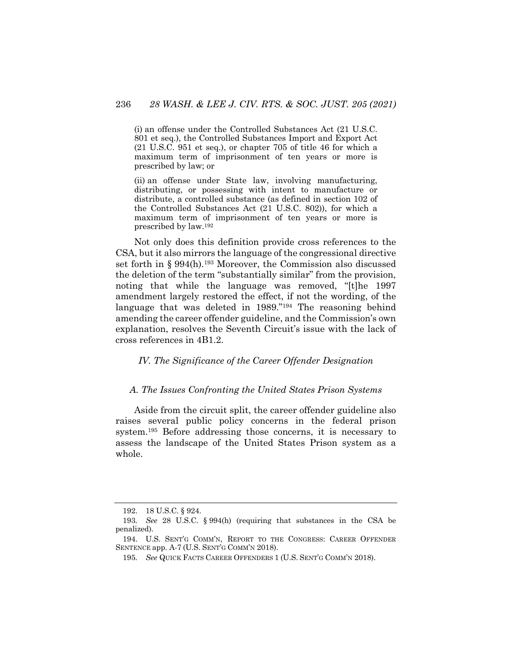(i) an offense under the Controlled Substances Act (21 U.S.C. 801 et seq.), the Controlled Substances Import and Export Act (21 U.S.C. 951 et seq.), or chapter 705 of title 46 for which a maximum term of imprisonment of ten years or more is prescribed by law; or

(ii) an offense under State law, involving manufacturing, distributing, or possessing with intent to manufacture or distribute, a controlled substance (as defined in section 102 of the Controlled Substances Act (21 U.S.C. 802)), for which a maximum term of imprisonment of ten years or more is prescribed by law.192

Not only does this definition provide cross references to the CSA, but it also mirrors the language of the congressional directive set forth in § 994(h).193 Moreover, the Commission also discussed the deletion of the term "substantially similar" from the provision, noting that while the language was removed, "[t]he 1997 amendment largely restored the effect, if not the wording, of the language that was deleted in 1989.<sup>"194</sup> The reasoning behind amending the career offender guideline, and the Commission's own explanation, resolves the Seventh Circuit's issue with the lack of cross references in 4B1.2.

#### *IV. The Significance of the Career Offender Designation*

#### *A. The Issues Confronting the United States Prison Systems*

Aside from the circuit split, the career offender guideline also raises several public policy concerns in the federal prison system.195 Before addressing those concerns, it is necessary to assess the landscape of the United States Prison system as a whole.

<sup>192.</sup> 18 U.S.C. § 924.

<sup>193</sup>*. See* 28 U.S.C. § 994(h) (requiring that substances in the CSA be penalized).

<sup>194.</sup> U.S. SENT'G COMM'N, REPORT TO THE CONGRESS: CAREER OFFENDER SENTENCE app. A-7 (U.S. SENT'G COMM'N 2018).

<sup>195</sup>*. See* QUICK FACTS CAREER OFFENDERS 1 (U.S. SENT'G COMM'N 2018).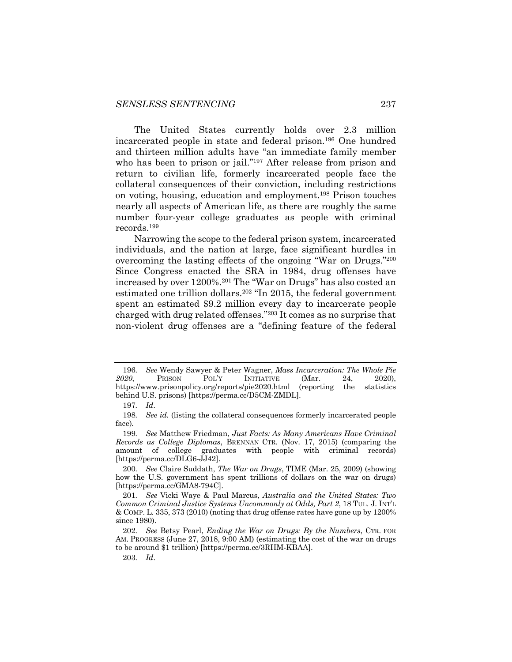The United States currently holds over 2.3 million incarcerated people in state and federal prison.196 One hundred and thirteen million adults have "an immediate family member who has been to prison or jail."<sup>197</sup> After release from prison and return to civilian life, formerly incarcerated people face the collateral consequences of their conviction, including restrictions on voting, housing, education and employment.198 Prison touches nearly all aspects of American life, as there are roughly the same number four-year college graduates as people with criminal records.199

Narrowing the scope to the federal prison system, incarcerated individuals, and the nation at large, face significant hurdles in overcoming the lasting effects of the ongoing "War on Drugs."200 Since Congress enacted the SRA in 1984, drug offenses have increased by over 1200%.201 The "War on Drugs" has also costed an estimated one trillion dollars.202 "In 2015, the federal government spent an estimated \$9.2 million every day to incarcerate people charged with drug related offenses."203 It comes as no surprise that non-violent drug offenses are a "defining feature of the federal

203*. Id*.

<sup>196</sup>*. See* Wendy Sawyer & Peter Wagner, *Mass Incarceration: The Whole Pie 2020*, PRISON POL'Y INITIATIVE (Mar. 24, 2020), https://www.prisonpolicy.org/reports/pie2020.html (reporting the statistics behind U.S. prisons) [https://perma.cc/D5CM-ZMDL].

<sup>197</sup>*. Id*.

<sup>198</sup>*. See id.* (listing the collateral consequences formerly incarcerated people face)*.*

<sup>199</sup>*. See* Matthew Friedman, *Just Facts: As Many Americans Have Criminal Records as College Diplomas*, BRENNAN CTR. (Nov. 17, 2015) (comparing the amount of college graduates with people with criminal records) [https://perma.cc/DLG6-JJ42].

<sup>200</sup>*. See* Claire Suddath, *The War on Drugs*, TIME (Mar. 25, 2009) (showing how the U.S. government has spent trillions of dollars on the war on drugs) [https://perma.cc/GMA8-794C].

<sup>201</sup>*. See* Vicki Waye & Paul Marcus, *Australia and the United States: Two Common Criminal Justice Systems Uncommonly at Odds, Part 2*, 18 TUL. J. INT'L  $\&$  COMP. L. 335, 373 (2010) (noting that drug offense rates have gone up by 1200% since 1980).

<sup>202</sup>*. See* Betsy Pearl, *Ending the War on Drugs: By the Numbers*, CTR. FOR AM. PROGRESS (June 27, 2018, 9:00 AM) (estimating the cost of the war on drugs to be around \$1 trillion) [https://perma.cc/3RHM-KBAA].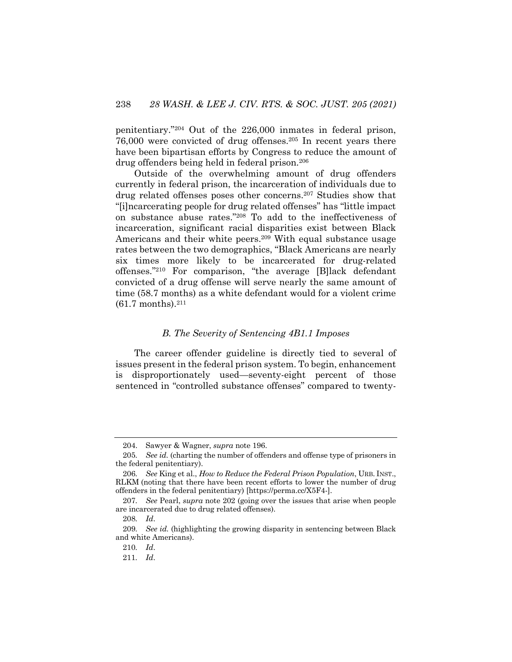penitentiary."204 Out of the 226,000 inmates in federal prison, 76,000 were convicted of drug offenses.205 In recent years there have been bipartisan efforts by Congress to reduce the amount of drug offenders being held in federal prison.206

Outside of the overwhelming amount of drug offenders currently in federal prison, the incarceration of individuals due to drug related offenses poses other concerns.207 Studies show that "[i]ncarcerating people for drug related offenses" has "little impact on substance abuse rates."208 To add to the ineffectiveness of incarceration, significant racial disparities exist between Black Americans and their white peers.<sup>209</sup> With equal substance usage rates between the two demographics, "Black Americans are nearly six times more likely to be incarcerated for drug-related offenses."210 For comparison, "the average [B]lack defendant convicted of a drug offense will serve nearly the same amount of time (58.7 months) as a white defendant would for a violent crime  $(61.7 \text{ months})$ .<sup>211</sup>

#### *B. The Severity of Sentencing 4B1.1 Imposes*

The career offender guideline is directly tied to several of issues present in the federal prison system. To begin, enhancement is disproportionately used—seventy-eight percent of those sentenced in "controlled substance offenses" compared to twenty-

<sup>204.</sup> Sawyer & Wagner, *supra* note 196.

<sup>205</sup>*. See id.* (charting the number of offenders and offense type of prisoners in the federal penitentiary).

<sup>206</sup>*. See* King et al., *How to Reduce the Federal Prison Population*, URB. INST., RLKM (noting that there have been recent efforts to lower the number of drug offenders in the federal penitentiary) [https://perma.cc/X5F4-].

<sup>207</sup>*. See* Pearl, *supra* note 202 (going over the issues that arise when people are incarcerated due to drug related offenses).

<sup>208</sup>*. Id*.

<sup>209</sup>*. See id.* (highlighting the growing disparity in sentencing between Black and white Americans).

<sup>210</sup>*. Id*.

<sup>211</sup>*. Id*.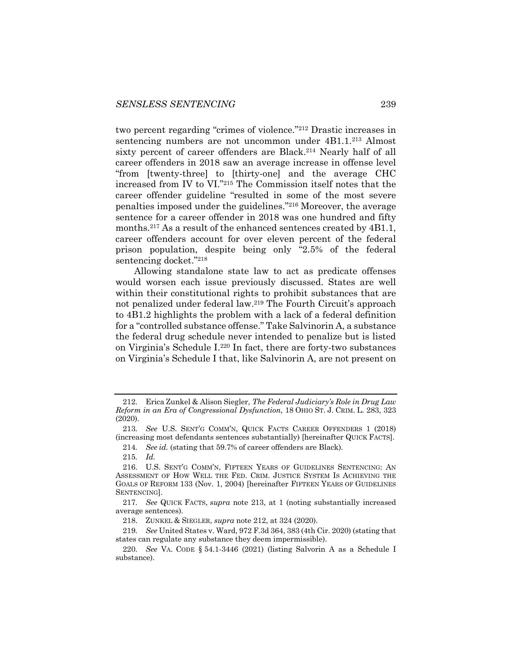two percent regarding "crimes of violence."212 Drastic increases in sentencing numbers are not uncommon under 4B1.1.<sup>213</sup> Almost sixty percent of career offenders are Black.<sup>214</sup> Nearly half of all career offenders in 2018 saw an average increase in offense level "from [twenty-three] to [thirty-one] and the average CHC increased from IV to VI."215 The Commission itself notes that the career offender guideline "resulted in some of the most severe penalties imposed under the guidelines."216 Moreover, the average sentence for a career offender in 2018 was one hundred and fifty months.<sup>217</sup> As a result of the enhanced sentences created by 4B1.1, career offenders account for over eleven percent of the federal prison population, despite being only "2.5% of the federal sentencing docket."218

Allowing standalone state law to act as predicate offenses would worsen each issue previously discussed. States are well within their constitutional rights to prohibit substances that are not penalized under federal law.219 The Fourth Circuit's approach to 4B1.2 highlights the problem with a lack of a federal definition for a "controlled substance offense." Take Salvinorin A, a substance the federal drug schedule never intended to penalize but is listed on Virginia's Schedule I.220 In fact, there are forty-two substances on Virginia's Schedule I that, like Salvinorin A, are not present on

<sup>212.</sup> Erica Zunkel & Alison Siegler, *The Federal Judiciary's Role in Drug Law Reform in an Era of Congressional Dysfunction*, 18 OHIO ST. J. CRIM. L. 283, 323 (2020).

<sup>213</sup>*. See* U.S. SENT'G COMM'N, QUICK FACTS CAREER OFFENDERS 1 (2018) (increasing most defendants sentences substantially) [hereinafter QUICK FACTS].

<sup>214</sup>*. See id.* (stating that 59.7% of career offenders are Black).

<sup>215</sup>*. Id.*

<sup>216.</sup> U.S. SENT'G COMM'N, FIFTEEN YEARS OF GUIDELINES SENTENCING: AN ASSESSMENT OF HOW WELL THE FED. CRIM. JUSTICE SYSTEM IS ACHIEVING THE GOALS OF REFORM 133 (Nov. 1, 2004) [hereinafter FIFTEEN YEARS OF GUIDELINES SENTENCING].

<sup>217</sup>*. See* QUICK FACTS, *supra* note 213, at 1 (noting substantially increased average sentences).

<sup>218.</sup> ZUNKEL & SIEGLER, *supra* note 212, at 324 (2020).

<sup>219</sup>*. See* United States v. Ward, 972 F.3d 364, 383 (4th Cir. 2020) (stating that states can regulate any substance they deem impermissible).

<sup>220</sup>*. See* VA. CODE § 54.1-3446 (2021) (listing Salvorin A as a Schedule I substance).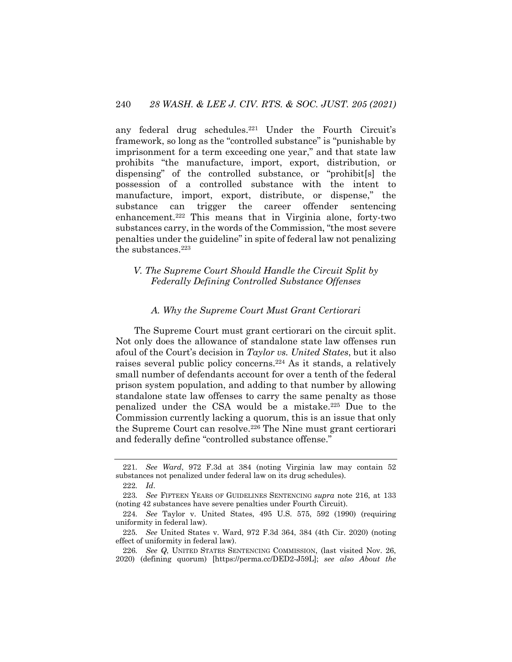any federal drug schedules.221 Under the Fourth Circuit's framework, so long as the "controlled substance" is "punishable by imprisonment for a term exceeding one year," and that state law prohibits "the manufacture, import, export, distribution, or dispensing" of the controlled substance, or "prohibit[s] the possession of a controlled substance with the intent to manufacture, import, export, distribute, or dispense," the substance can trigger the career offender sentencing enhancement.<sup>222</sup> This means that in Virginia alone, forty-two substances carry, in the words of the Commission, "the most severe penalties under the guideline" in spite of federal law not penalizing the substances.223

## *V. The Supreme Court Should Handle the Circuit Split by Federally Defining Controlled Substance Offenses*

#### *A. Why the Supreme Court Must Grant Certiorari*

The Supreme Court must grant certiorari on the circuit split. Not only does the allowance of standalone state law offenses run afoul of the Court's decision in *Taylor vs. United States*, but it also raises several public policy concerns.224 As it stands, a relatively small number of defendants account for over a tenth of the federal prison system population, and adding to that number by allowing standalone state law offenses to carry the same penalty as those penalized under the CSA would be a mistake.225 Due to the Commission currently lacking a quorum, this is an issue that only the Supreme Court can resolve.226 The Nine must grant certiorari and federally define "controlled substance offense."

<sup>221</sup>*. See Ward*, 972 F.3d at 384 (noting Virginia law may contain 52 substances not penalized under federal law on its drug schedules).

<sup>222</sup>*. Id*.

<sup>223</sup>*. See* FIFTEEN YEARS OF GUIDELINES SENTENCING *supra* note 216, at 133 (noting 42 substances have severe penalties under Fourth Circuit).

<sup>224</sup>*. See* Taylor v. United States, 495 U.S. 575, 592 (1990) (requiring uniformity in federal law).

<sup>225</sup>*. See* United States v. Ward, 972 F.3d 364, 384 (4th Cir. 2020) (noting effect of uniformity in federal law).

<sup>226</sup>*. See Q*, UNITED STATES SENTENCING COMMISSION, (last visited Nov. 26, 2020) (defining quorum) [https://perma.cc/DED2-J59L]; *see also About the*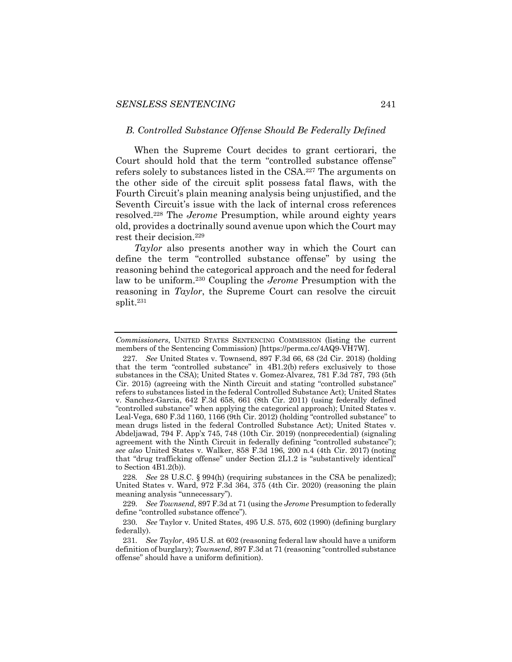#### *B. Controlled Substance Offense Should Be Federally Defined*

When the Supreme Court decides to grant certiorari, the Court should hold that the term "controlled substance offense" refers solely to substances listed in the CSA.227 The arguments on the other side of the circuit split possess fatal flaws, with the Fourth Circuit's plain meaning analysis being unjustified, and the Seventh Circuit's issue with the lack of internal cross references resolved.228 The *Jerome* Presumption, while around eighty years old, provides a doctrinally sound avenue upon which the Court may rest their decision.229

*Taylor* also presents another way in which the Court can define the term "controlled substance offense" by using the reasoning behind the categorical approach and the need for federal law to be uniform.230 Coupling the *Jerome* Presumption with the reasoning in *Taylor*, the Supreme Court can resolve the circuit split.231

*Commissioners*, UNITED STATES SENTENCING COMMISSION (listing the current members of the Sentencing Commission) [https://perma.cc/4AQ9-VH7W].

<sup>227</sup>*. See* United States v. Townsend, 897 F.3d 66, 68 (2d Cir. 2018) (holding that the term "controlled substance" in 4B1.2(b) refers exclusively to those substances in the CSA); United States v. Gomez-Alvarez, 781 F.3d 787, 793 (5th Cir. 2015) (agreeing with the Ninth Circuit and stating "controlled substance" refers to substances listed in the federal Controlled Substance Act); United States v. Sanchez-Garcia, 642 F.3d 658, 661 (8th Cir. 2011) (using federally defined "controlled substance" when applying the categorical approach); United States v. Leal-Vega, 680 F.3d 1160, 1166 (9th Cir. 2012) (holding "controlled substance" to mean drugs listed in the federal Controlled Substance Act); United States v. Abdeljawad, 794 F. App'x 745, 748 (10th Cir. 2019) (nonprecedential) (signaling agreement with the Ninth Circuit in federally defining "controlled substance"); *see also* United States v. Walker, 858 F.3d 196, 200 n.4 (4th Cir. 2017) (noting that "drug trafficking offense" under Section 2L1.2 is "substantively identical" to Section 4B1.2(b)).

<sup>228</sup>*. See* 28 U.S.C. § 994(h) (requiring substances in the CSA be penalized); United States v. Ward, 972 F.3d 364, 375 (4th Cir. 2020) (reasoning the plain meaning analysis "unnecessary").

<sup>229</sup>*. See Townsend*, 897 F.3d at 71 (using the *Jerome* Presumption to federally define "controlled substance offence").

<sup>230</sup>*. See* Taylor v. United States, 495 U.S. 575, 602 (1990) (defining burglary federally).

<sup>231</sup>*. See Taylor*, 495 U.S. at 602 (reasoning federal law should have a uniform definition of burglary); *Townsend*, 897 F.3d at 71 (reasoning "controlled substance offense" should have a uniform definition).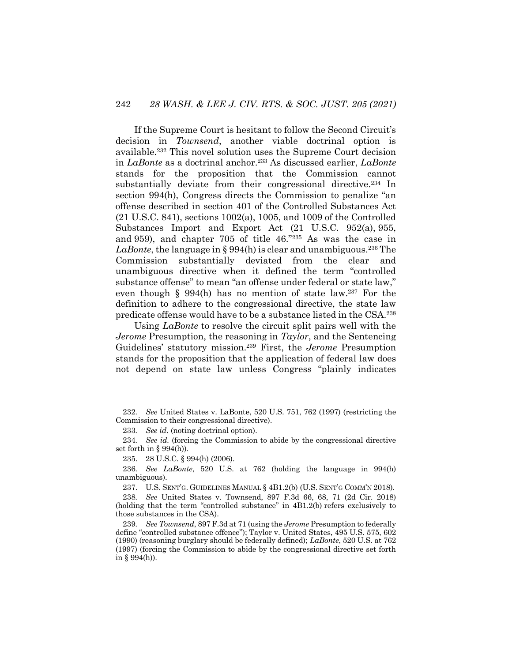If the Supreme Court is hesitant to follow the Second Circuit's decision in *Townsend*, another viable doctrinal option is available.232 This novel solution uses the Supreme Court decision in *LaBonte* as a doctrinal anchor.233 As discussed earlier, *LaBonte*  stands for the proposition that the Commission cannot substantially deviate from their congressional directive.<sup>234</sup> In section 994(h), Congress directs the Commission to penalize "an offense described in section 401 of the Controlled Substances Act (21 U.S.C. 841), sections 1002(a), 1005, and 1009 of the Controlled Substances Import and Export Act (21 U.S.C. 952(a), 955, and 959), and chapter 705 of title 46."235 As was the case in LaBonte, the language in § 994(h) is clear and unambiguous.<sup>236</sup> The Commission substantially deviated from the clear and unambiguous directive when it defined the term "controlled substance offense" to mean "an offense under federal or state law," even though § 994(h) has no mention of state law.237 For the definition to adhere to the congressional directive, the state law predicate offense would have to be a substance listed in the CSA.238

Using *LaBonte* to resolve the circuit split pairs well with the *Jerome* Presumption, the reasoning in *Taylor*, and the Sentencing Guidelines' statutory mission.239 First, the *Jerome* Presumption stands for the proposition that the application of federal law does not depend on state law unless Congress "plainly indicates

237. U.S. SENT'G. GUIDELINES MANUAL § 4B1.2(b) (U.S. SENT'G COMM'N 2018).

238*. See* United States v. Townsend, 897 F.3d 66, 68, 71 (2d Cir. 2018) (holding that the term "controlled substance" in 4B1.2(b) refers exclusively to those substances in the CSA).

239*. See Townsend*, 897 F.3d at 71 (using the *Jerome* Presumption to federally define "controlled substance offence"); Taylor v. United States, 495 U.S. 575, 602 (1990) (reasoning burglary should be federally defined); *LaBonte*, 520 U.S. at 762 (1997) (forcing the Commission to abide by the congressional directive set forth in  $§$  994(h)).

<sup>232</sup>*. See* United States v. LaBonte, 520 U.S. 751, 762 (1997) (restricting the Commission to their congressional directive).

<sup>233</sup>*. See id*. (noting doctrinal option).

<sup>234</sup>*. See id.* (forcing the Commission to abide by the congressional directive set forth in  $\S 994(h)$ .

<sup>235.</sup> 28 U.S.C. § 994(h) (2006).

<sup>236</sup>*. See LaBonte*, 520 U.S. at 762 (holding the language in 994(h) unambiguous).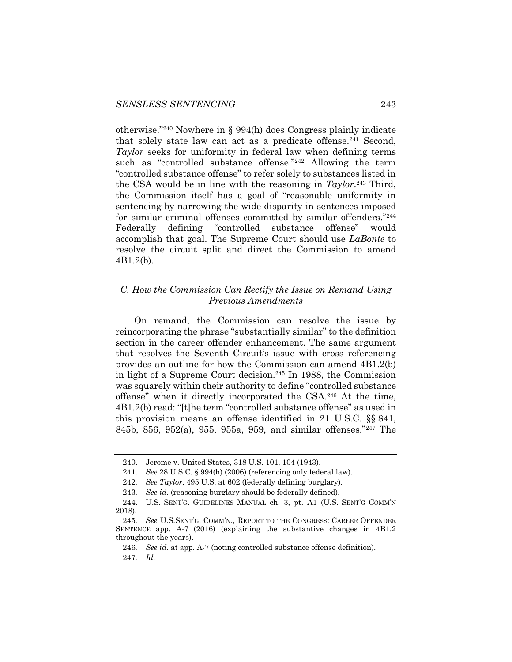otherwise."240 Nowhere in § 994(h) does Congress plainly indicate that solely state law can act as a predicate offense.<sup>241</sup> Second, *Taylor* seeks for uniformity in federal law when defining terms such as "controlled substance offense."242 Allowing the term "controlled substance offense" to refer solely to substances listed in the CSA would be in line with the reasoning in *Taylor*. <sup>243</sup> Third, the Commission itself has a goal of "reasonable uniformity in sentencing by narrowing the wide disparity in sentences imposed for similar criminal offenses committed by similar offenders."244 Federally defining "controlled substance offense" would accomplish that goal. The Supreme Court should use *LaBonte* to resolve the circuit split and direct the Commission to amend 4B1.2(b).

## *C. How the Commission Can Rectify the Issue on Remand Using Previous Amendments*

On remand, the Commission can resolve the issue by reincorporating the phrase "substantially similar" to the definition section in the career offender enhancement. The same argument that resolves the Seventh Circuit's issue with cross referencing provides an outline for how the Commission can amend 4B1.2(b) in light of a Supreme Court decision.245 In 1988, the Commission was squarely within their authority to define "controlled substance offense" when it directly incorporated the CSA.246 At the time, 4B1.2(b) read: "[t]he term "controlled substance offense" as used in this provision means an offense identified in 21 U.S.C. §§ 841, 845b, 856, 952(a), 955, 955a, 959, and similar offenses."247 The

<sup>240.</sup> Jerome v. United States, 318 U.S. 101, 104 (1943).

<sup>241</sup>*. See* 28 U.S.C. § 994(h) (2006) (referencing only federal law).

<sup>242</sup>*. See Taylor*, 495 U.S. at 602 (federally defining burglary).

<sup>243</sup>*. See id.* (reasoning burglary should be federally defined).

<sup>244.</sup> U.S. SENT'G. GUIDELINES MANUAL ch. 3, pt. A1 (U.S. SENT'G COMM'N 2018).

<sup>245</sup>*. See* U.S.SENT'G. COMM'N., REPORT TO THE CONGRESS: CAREER OFFENDER SENTENCE app. A-7 (2016) (explaining the substantive changes in 4B1.2 throughout the years).

<sup>246</sup>*. See id.* at app. A-7 (noting controlled substance offense definition). 247*. Id.*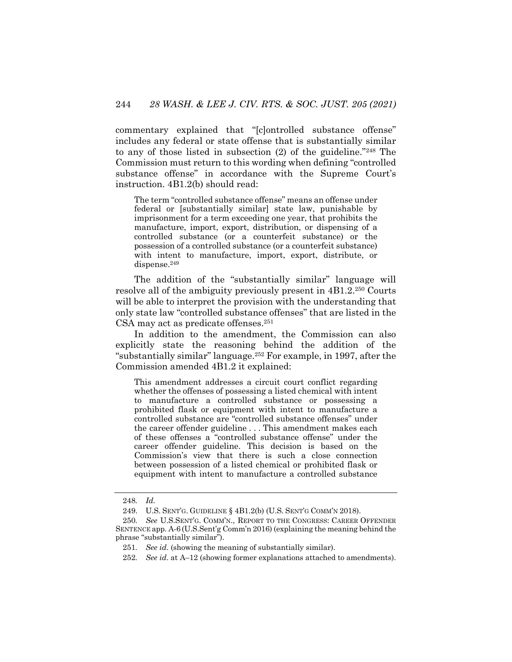commentary explained that "[c]ontrolled substance offense" includes any federal or state offense that is substantially similar to any of those listed in subsection (2) of the guideline."248 The Commission must return to this wording when defining "controlled substance offense" in accordance with the Supreme Court's instruction. 4B1.2(b) should read:

The term "controlled substance offense" means an offense under federal or [substantially similar] state law, punishable by imprisonment for a term exceeding one year, that prohibits the manufacture, import, export, distribution, or dispensing of a controlled substance (or a counterfeit substance) or the possession of a controlled substance (or a counterfeit substance) with intent to manufacture, import, export, distribute, or dispense.249

The addition of the "substantially similar" language will resolve all of the ambiguity previously present in 4B1.2.250 Courts will be able to interpret the provision with the understanding that only state law "controlled substance offenses" that are listed in the CSA may act as predicate offenses.251

In addition to the amendment, the Commission can also explicitly state the reasoning behind the addition of the "substantially similar" language.252 For example, in 1997, after the Commission amended 4B1.2 it explained:

This amendment addresses a circuit court conflict regarding whether the offenses of possessing a listed chemical with intent to manufacture a controlled substance or possessing a prohibited flask or equipment with intent to manufacture a controlled substance are "controlled substance offenses" under the career offender guideline . . . This amendment makes each of these offenses a "controlled substance offense" under the career offender guideline. This decision is based on the Commission's view that there is such a close connection between possession of a listed chemical or prohibited flask or equipment with intent to manufacture a controlled substance

<sup>248</sup>*. Id.*

<sup>249.</sup> U.S. SENT'G. GUIDELINE § 4B1.2(b) (U.S. SENT'G COMM'N 2018).

<sup>250</sup>*. See* U.S.SENT'G. COMM'N., REPORT TO THE CONGRESS: CAREER OFFENDER SENTENCE app. A-6 (U.S.Sent'g Comm'n 2016) (explaining the meaning behind the phrase "substantially similar").

<sup>251</sup>*. See id*. (showing the meaning of substantially similar).

<sup>252</sup>*. See id*. at A–12 (showing former explanations attached to amendments).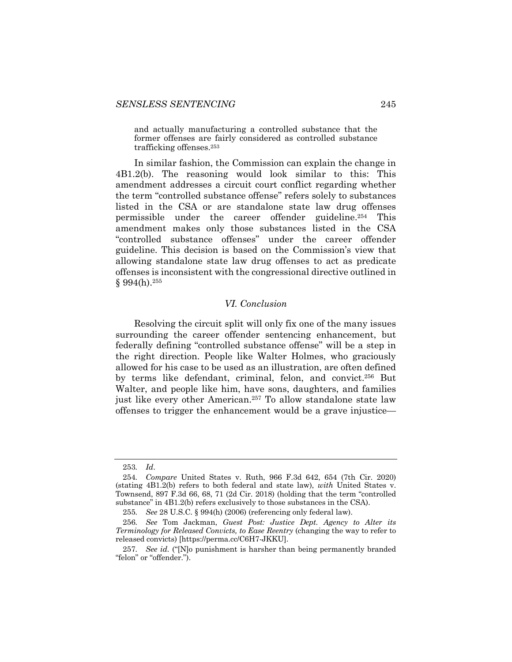and actually manufacturing a controlled substance that the former offenses are fairly considered as controlled substance trafficking offenses.253

In similar fashion, the Commission can explain the change in 4B1.2(b). The reasoning would look similar to this: This amendment addresses a circuit court conflict regarding whether the term "controlled substance offense" refers solely to substances listed in the CSA or are standalone state law drug offenses permissible under the career offender guideline.254 This amendment makes only those substances listed in the CSA "controlled substance offenses" under the career offender guideline. This decision is based on the Commission's view that allowing standalone state law drug offenses to act as predicate offenses is inconsistent with the congressional directive outlined in  $§ 994(h).^{255}$ 

## *VI. Conclusion*

Resolving the circuit split will only fix one of the many issues surrounding the career offender sentencing enhancement, but federally defining "controlled substance offense" will be a step in the right direction. People like Walter Holmes, who graciously allowed for his case to be used as an illustration, are often defined by terms like defendant, criminal, felon, and convict.256 But Walter, and people like him, have sons, daughters, and families just like every other American.<sup>257</sup> To allow standalone state law offenses to trigger the enhancement would be a grave injustice—

<sup>253</sup>*. Id*.

<sup>254</sup>*. Compare* United States v. Ruth, 966 F.3d 642, 654 (7th Cir. 2020) (stating 4B1.2(b) refers to both federal and state law), *with* United States v. Townsend, 897 F.3d 66, 68, 71 (2d Cir. 2018) (holding that the term "controlled substance" in 4B1.2(b) refers exclusively to those substances in the CSA).

<sup>255</sup>*. See* 28 U.S.C. § 994(h) (2006) (referencing only federal law).

<sup>256</sup>*. See* Tom Jackman, *Guest Post: Justice Dept. Agency to Alter its Terminology for Released Convicts, to Ease Reentry* (changing the way to refer to released convicts) [https://perma.cc/C6H7-JKKU].

<sup>257</sup>*. See id.* ("[N]o punishment is harsher than being permanently branded "felon" or "offender.").